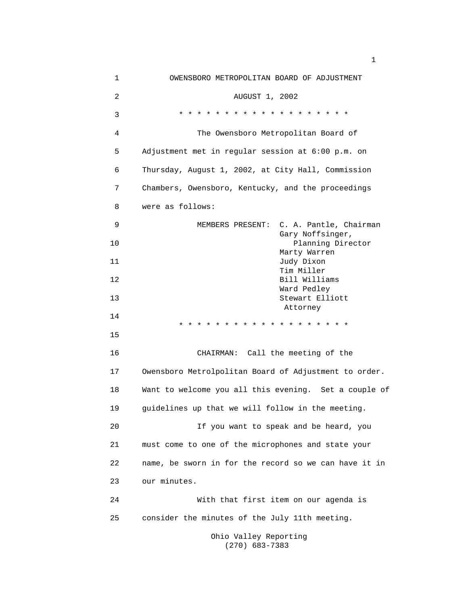| 1  | OWENSBORO METROPOLITAN BOARD OF ADJUSTMENT            |
|----|-------------------------------------------------------|
| 2  | AUGUST 1, 2002                                        |
| 3  | * * * * * * * * * * * * * * * * * * *                 |
| 4  | The Owensboro Metropolitan Board of                   |
| 5  | Adjustment met in regular session at 6:00 p.m. on     |
| 6  | Thursday, August 1, 2002, at City Hall, Commission    |
| 7  | Chambers, Owensboro, Kentucky, and the proceedings    |
| 8  | were as follows:                                      |
| 9  | C. A. Pantle, Chairman<br>MEMBERS PRESENT:            |
| 10 | Gary Noffsinger,<br>Planning Director                 |
| 11 | Marty Warren<br>Judy Dixon                            |
| 12 | Tim Miller<br>Bill Williams                           |
| 13 | Ward Pedley<br>Stewart Elliott                        |
| 14 | Attorney<br>* * * * * * * * * * * *                   |
| 15 |                                                       |
| 16 | CHAIRMAN: Call the meeting of the                     |
| 17 | Owensboro Metrolpolitan Board of Adjustment to order. |
| 18 | Want to welcome you all this evening. Set a couple of |
| 19 | guidelines up that we will follow in the meeting.     |
| 20 | If you want to speak and be heard, you                |
| 21 | must come to one of the microphones and state your    |
| 22 | name, be sworn in for the record so we can have it in |
| 23 | our minutes.                                          |
| 24 | With that first item on our agenda is                 |
| 25 | consider the minutes of the July 11th meeting.        |
|    | Ohio Valley Reporting                                 |

(270) 683-7383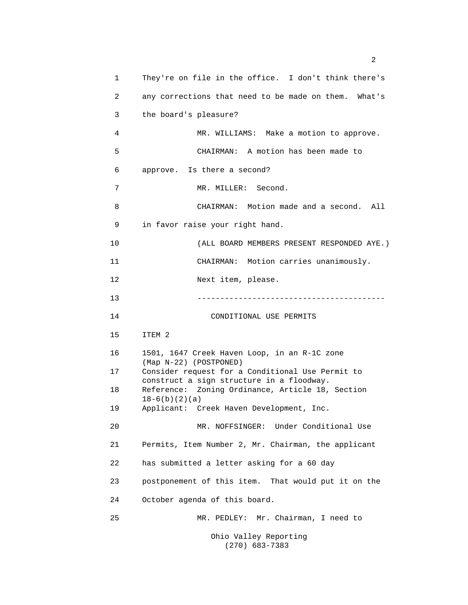| 1  | They're on file in the office. I don't think there's                                          |
|----|-----------------------------------------------------------------------------------------------|
| 2  | any corrections that need to be made on them. What's                                          |
| 3  | the board's pleasure?                                                                         |
| 4  | MR. WILLIAMS: Make a motion to approve.                                                       |
| 5  | CHAIRMAN: A motion has been made to                                                           |
| 6  | approve. Is there a second?                                                                   |
| 7  | MR. MILLER: Second.                                                                           |
| 8  | CHAIRMAN: Motion made and a second. All                                                       |
| 9  | in favor raise your right hand.                                                               |
| 10 | (ALL BOARD MEMBERS PRESENT RESPONDED AYE.)                                                    |
| 11 | CHAIRMAN: Motion carries unanimously.                                                         |
| 12 | Next item, please.                                                                            |
| 13 | ______________________________________                                                        |
| 14 | CONDITIONAL USE PERMITS                                                                       |
| 15 | ITEM 2                                                                                        |
| 16 | 1501, 1647 Creek Haven Loop, in an R-1C zone<br>(Map N-22) (POSTPONED)                        |
| 17 | Consider request for a Conditional Use Permit to<br>construct a sign structure in a floodway. |
| 18 | Reference: Zoning Ordinance, Article 18, Section<br>$18-6(b)(2)(a)$                           |
| 19 | Applicant: Creek Haven Development, Inc.                                                      |
| 20 | MR. NOFFSINGER: Under Conditional Use                                                         |
| 21 | Permits, Item Number 2, Mr. Chairman, the applicant                                           |
| 22 | has submitted a letter asking for a 60 day                                                    |
| 23 | postponement of this item. That would put it on the                                           |
| 24 | October agenda of this board.                                                                 |
| 25 | MR. PEDLEY: Mr. Chairman, I need to                                                           |
|    | Ohio Valley Reporting<br>$(270)$ 683-7383                                                     |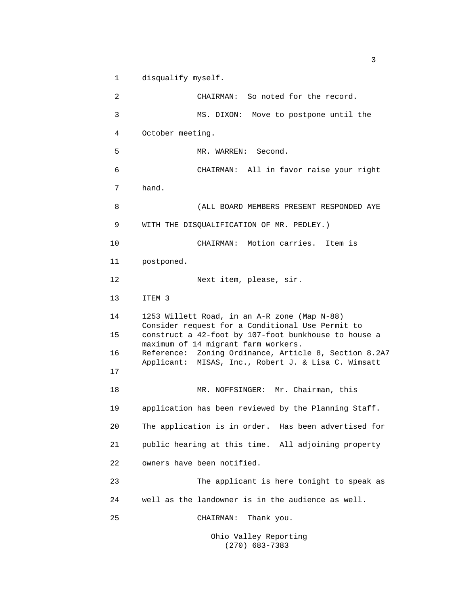1 disqualify myself.

2 CHAIRMAN: So noted for the record. 3 MS. DIXON: Move to postpone until the 4 October meeting. 5 MR. WARREN: Second. 6 CHAIRMAN: All in favor raise your right 7 hand. 8 (ALL BOARD MEMBERS PRESENT RESPONDED AYE 9 WITH THE DISQUALIFICATION OF MR. PEDLEY.) 10 CHAIRMAN: Motion carries. Item is 11 postponed. 12 Next item, please, sir. 13 ITEM 3 14 1253 Willett Road, in an A-R zone (Map N-88) Consider request for a Conditional Use Permit to 15 construct a 42-foot by 107-foot bunkhouse to house a maximum of 14 migrant farm workers. 16 Reference: Zoning Ordinance, Article 8, Section 8.2A7 Applicant: MISAS, Inc., Robert J. & Lisa C. Wimsatt 17 18 MR. NOFFSINGER: Mr. Chairman, this 19 application has been reviewed by the Planning Staff. 20 The application is in order. Has been advertised for 21 public hearing at this time. All adjoining property 22 owners have been notified. 23 The applicant is here tonight to speak as 24 well as the landowner is in the audience as well. 25 CHAIRMAN: Thank you. Ohio Valley Reporting

(270) 683-7383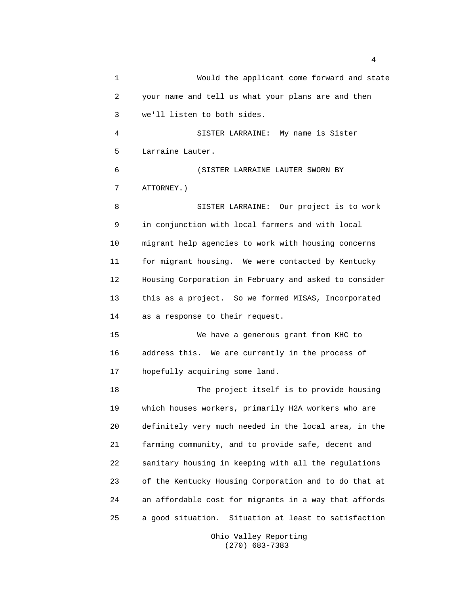1 Would the applicant come forward and state 2 your name and tell us what your plans are and then 3 we'll listen to both sides. 4 SISTER LARRAINE: My name is Sister 5 Larraine Lauter. 6 (SISTER LARRAINE LAUTER SWORN BY 7 ATTORNEY.) 8 SISTER LARRAINE: Our project is to work 9 in conjunction with local farmers and with local 10 migrant help agencies to work with housing concerns 11 for migrant housing. We were contacted by Kentucky 12 Housing Corporation in February and asked to consider 13 this as a project. So we formed MISAS, Incorporated 14 as a response to their request. 15 We have a generous grant from KHC to 16 address this. We are currently in the process of 17 hopefully acquiring some land. 18 The project itself is to provide housing 19 which houses workers, primarily H2A workers who are 20 definitely very much needed in the local area, in the 21 farming community, and to provide safe, decent and 22 sanitary housing in keeping with all the regulations 23 of the Kentucky Housing Corporation and to do that at 24 an affordable cost for migrants in a way that affords 25 a good situation. Situation at least to satisfaction

4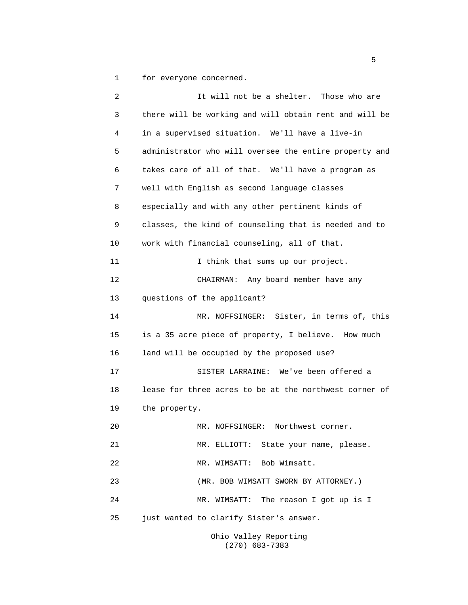1 for everyone concerned.

| 2  | It will not be a shelter. Those who are                |
|----|--------------------------------------------------------|
| 3  | there will be working and will obtain rent and will be |
| 4  | in a supervised situation. We'll have a live-in        |
| 5  | administrator who will oversee the entire property and |
| 6  | takes care of all of that. We'll have a program as     |
| 7  | well with English as second language classes           |
| 8  | especially and with any other pertinent kinds of       |
| 9  | classes, the kind of counseling that is needed and to  |
| 10 | work with financial counseling, all of that.           |
| 11 | I think that sums up our project.                      |
| 12 | CHAIRMAN: Any board member have any                    |
| 13 | questions of the applicant?                            |
| 14 | MR. NOFFSINGER: Sister, in terms of, this              |
| 15 | is a 35 acre piece of property, I believe. How much    |
| 16 | land will be occupied by the proposed use?             |
| 17 | SISTER LARRAINE: We've been offered a                  |
| 18 | lease for three acres to be at the northwest corner of |
| 19 | the property.                                          |
| 20 | MR. NOFFSINGER: Northwest corner.                      |
| 21 | MR. ELLIOTT: State your name, please.                  |
| 22 | MR. WIMSATT: Bob Wimsatt.                              |
| 23 | (MR. BOB WIMSATT SWORN BY ATTORNEY.)                   |
| 24 | MR. WIMSATT: The reason I got up is I                  |
| 25 | just wanted to clarify Sister's answer.                |
|    | Ohio Valley Reporting                                  |

(270) 683-7383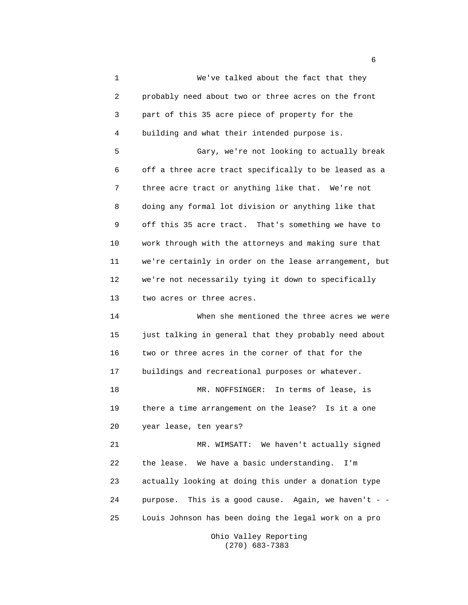1 We've talked about the fact that they 2 probably need about two or three acres on the front 3 part of this 35 acre piece of property for the 4 building and what their intended purpose is. 5 Gary, we're not looking to actually break 6 off a three acre tract specifically to be leased as a 7 three acre tract or anything like that. We're not 8 doing any formal lot division or anything like that 9 off this 35 acre tract. That's something we have to 10 work through with the attorneys and making sure that 11 we're certainly in order on the lease arrangement, but 12 we're not necessarily tying it down to specifically 13 two acres or three acres. 14 When she mentioned the three acres we were 15 just talking in general that they probably need about 16 two or three acres in the corner of that for the 17 buildings and recreational purposes or whatever. 18 MR. NOFFSINGER: In terms of lease, is 19 there a time arrangement on the lease? Is it a one 20 year lease, ten years? 21 MR. WIMSATT: We haven't actually signed 22 the lease. We have a basic understanding. I'm 23 actually looking at doing this under a donation type 24 purpose. This is a good cause. Again, we haven't - -25 Louis Johnson has been doing the legal work on a pro

Ohio Valley Reporting (270) 683-7383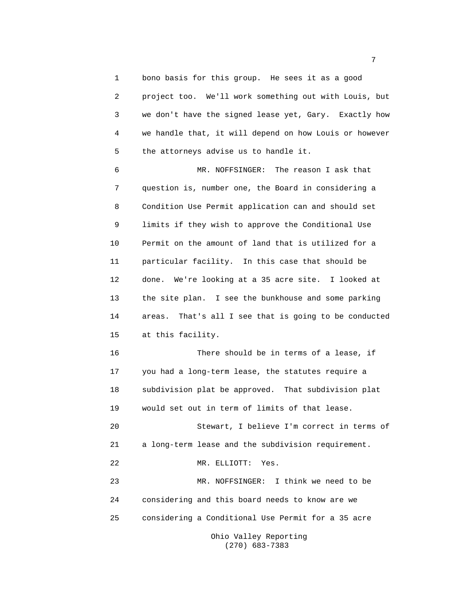1 bono basis for this group. He sees it as a good 2 project too. We'll work something out with Louis, but 3 we don't have the signed lease yet, Gary. Exactly how 4 we handle that, it will depend on how Louis or however 5 the attorneys advise us to handle it.

6 MR. NOFFSINGER: The reason I ask that 7 question is, number one, the Board in considering a 8 Condition Use Permit application can and should set 9 limits if they wish to approve the Conditional Use 10 Permit on the amount of land that is utilized for a 11 particular facility. In this case that should be 12 done. We're looking at a 35 acre site. I looked at 13 the site plan. I see the bunkhouse and some parking 14 areas. That's all I see that is going to be conducted 15 at this facility.

16 There should be in terms of a lease, if 17 you had a long-term lease, the statutes require a 18 subdivision plat be approved. That subdivision plat 19 would set out in term of limits of that lease.

20 Stewart, I believe I'm correct in terms of 21 a long-term lease and the subdivision requirement. 22 MR. ELLIOTT: Yes. 23 MR. NOFFSINGER: I think we need to be 24 considering and this board needs to know are we 25 considering a Conditional Use Permit for a 35 acre

> Ohio Valley Reporting (270) 683-7383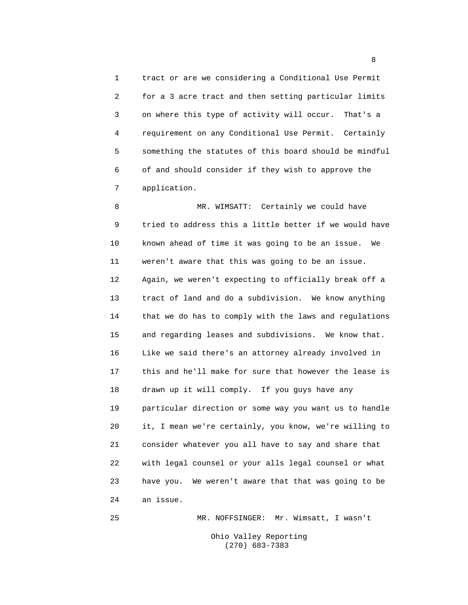1 tract or are we considering a Conditional Use Permit 2 for a 3 acre tract and then setting particular limits 3 on where this type of activity will occur. That's a 4 requirement on any Conditional Use Permit. Certainly 5 something the statutes of this board should be mindful 6 of and should consider if they wish to approve the 7 application.

8 MR. WIMSATT: Certainly we could have 9 tried to address this a little better if we would have 10 known ahead of time it was going to be an issue. We 11 weren't aware that this was going to be an issue. 12 Again, we weren't expecting to officially break off a 13 tract of land and do a subdivision. We know anything 14 that we do has to comply with the laws and regulations 15 and regarding leases and subdivisions. We know that. 16 Like we said there's an attorney already involved in 17 this and he'll make for sure that however the lease is 18 drawn up it will comply. If you guys have any 19 particular direction or some way you want us to handle 20 it, I mean we're certainly, you know, we're willing to 21 consider whatever you all have to say and share that 22 with legal counsel or your alls legal counsel or what 23 have you. We weren't aware that that was going to be 24 an issue.

25 MR. NOFFSINGER: Mr. Wimsatt, I wasn't Ohio Valley Reporting (270) 683-7383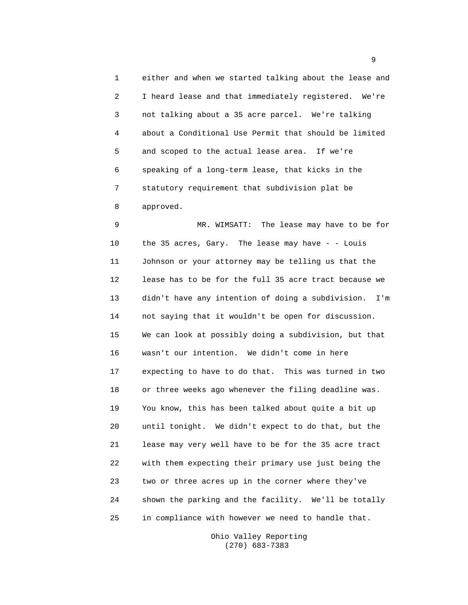1 either and when we started talking about the lease and 2 I heard lease and that immediately registered. We're 3 not talking about a 35 acre parcel. We're talking 4 about a Conditional Use Permit that should be limited 5 and scoped to the actual lease area. If we're 6 speaking of a long-term lease, that kicks in the 7 statutory requirement that subdivision plat be 8 approved.

9 MR. WIMSATT: The lease may have to be for 10 the 35 acres, Gary. The lease may have - - Louis 11 Johnson or your attorney may be telling us that the 12 lease has to be for the full 35 acre tract because we 13 didn't have any intention of doing a subdivision. I'm 14 not saying that it wouldn't be open for discussion. 15 We can look at possibly doing a subdivision, but that 16 wasn't our intention. We didn't come in here 17 expecting to have to do that. This was turned in two 18 or three weeks ago whenever the filing deadline was. 19 You know, this has been talked about quite a bit up 20 until tonight. We didn't expect to do that, but the 21 lease may very well have to be for the 35 acre tract 22 with them expecting their primary use just being the 23 two or three acres up in the corner where they've 24 shown the parking and the facility. We'll be totally 25 in compliance with however we need to handle that.

> Ohio Valley Reporting (270) 683-7383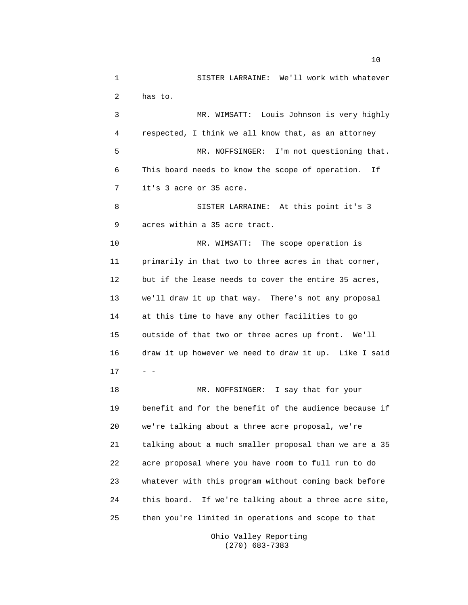1 SISTER LARRAINE: We'll work with whatever 2 has to. 3 MR. WIMSATT: Louis Johnson is very highly 4 respected, I think we all know that, as an attorney 5 MR. NOFFSINGER: I'm not questioning that. 6 This board needs to know the scope of operation. If 7 it's 3 acre or 35 acre. 8 SISTER LARRAINE: At this point it's 3 9 acres within a 35 acre tract. 10 MR. WIMSATT: The scope operation is 11 primarily in that two to three acres in that corner, 12 but if the lease needs to cover the entire 35 acres, 13 we'll draw it up that way. There's not any proposal 14 at this time to have any other facilities to go 15 outside of that two or three acres up front. We'll 16 draw it up however we need to draw it up. Like I said  $17 - -$ 18 MR. NOFFSINGER: I say that for your 19 benefit and for the benefit of the audience because if 20 we're talking about a three acre proposal, we're 21 talking about a much smaller proposal than we are a 35 22 acre proposal where you have room to full run to do 23 whatever with this program without coming back before 24 this board. If we're talking about a three acre site, 25 then you're limited in operations and scope to that

> Ohio Valley Reporting (270) 683-7383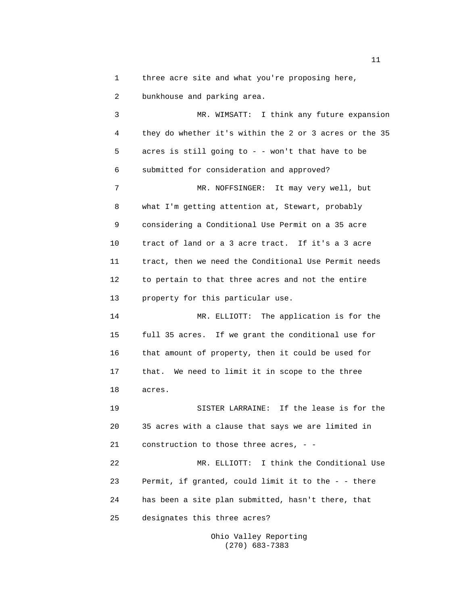1 three acre site and what you're proposing here,

2 bunkhouse and parking area.

3 MR. WIMSATT: I think any future expansion 4 they do whether it's within the 2 or 3 acres or the 35 5 acres is still going to - - won't that have to be 6 submitted for consideration and approved? 7 MR. NOFFSINGER: It may very well, but 8 what I'm getting attention at, Stewart, probably 9 considering a Conditional Use Permit on a 35 acre 10 tract of land or a 3 acre tract. If it's a 3 acre 11 tract, then we need the Conditional Use Permit needs 12 to pertain to that three acres and not the entire 13 property for this particular use. 14 MR. ELLIOTT: The application is for the 15 full 35 acres. If we grant the conditional use for 16 that amount of property, then it could be used for 17 that. We need to limit it in scope to the three 18 acres. 19 SISTER LARRAINE: If the lease is for the 20 35 acres with a clause that says we are limited in 21 construction to those three acres, - - 22 MR. ELLIOTT: I think the Conditional Use 23 Permit, if granted, could limit it to the - - there 24 has been a site plan submitted, hasn't there, that 25 designates this three acres?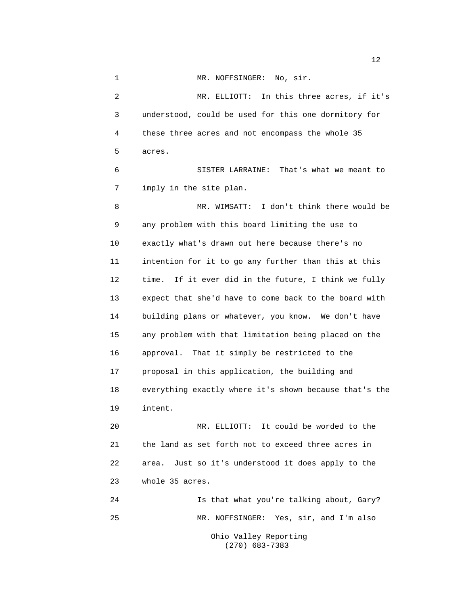1 MR. NOFFSINGER: No, sir. 2 MR. ELLIOTT: In this three acres, if it's 3 understood, could be used for this one dormitory for 4 these three acres and not encompass the whole 35 5 acres. 6 SISTER LARRAINE: That's what we meant to 7 imply in the site plan. 8 MR. WIMSATT: I don't think there would be 9 any problem with this board limiting the use to 10 exactly what's drawn out here because there's no 11 intention for it to go any further than this at this 12 time. If it ever did in the future, I think we fully 13 expect that she'd have to come back to the board with 14 building plans or whatever, you know. We don't have 15 any problem with that limitation being placed on the 16 approval. That it simply be restricted to the 17 proposal in this application, the building and 18 everything exactly where it's shown because that's the 19 intent. 20 MR. ELLIOTT: It could be worded to the 21 the land as set forth not to exceed three acres in 22 area. Just so it's understood it does apply to the 23 whole 35 acres. 24 Is that what you're talking about, Gary?

25 MR. NOFFSINGER: Yes, sir, and I'm also Ohio Valley Reporting (270) 683-7383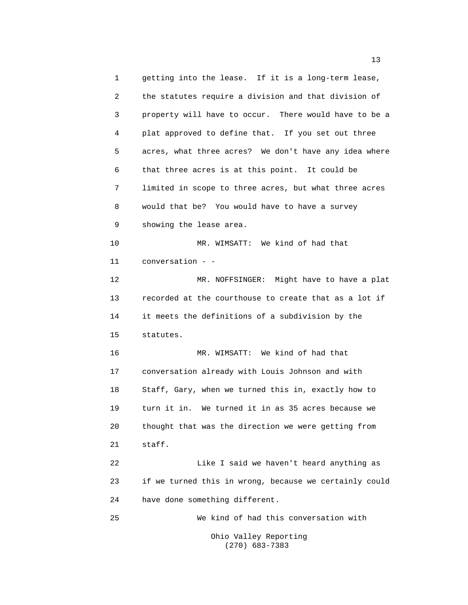1 getting into the lease. If it is a long-term lease, 2 the statutes require a division and that division of 3 property will have to occur. There would have to be a 4 plat approved to define that. If you set out three 5 acres, what three acres? We don't have any idea where 6 that three acres is at this point. It could be 7 limited in scope to three acres, but what three acres 8 would that be? You would have to have a survey 9 showing the lease area. 10 MR. WIMSATT: We kind of had that 11 conversation - - 12 MR. NOFFSINGER: Might have to have a plat 13 recorded at the courthouse to create that as a lot if 14 it meets the definitions of a subdivision by the 15 statutes. 16 MR. WIMSATT: We kind of had that 17 conversation already with Louis Johnson and with 18 Staff, Gary, when we turned this in, exactly how to 19 turn it in. We turned it in as 35 acres because we 20 thought that was the direction we were getting from 21 staff. 22 Like I said we haven't heard anything as 23 if we turned this in wrong, because we certainly could 24 have done something different. 25 We kind of had this conversation with Ohio Valley Reporting

(270) 683-7383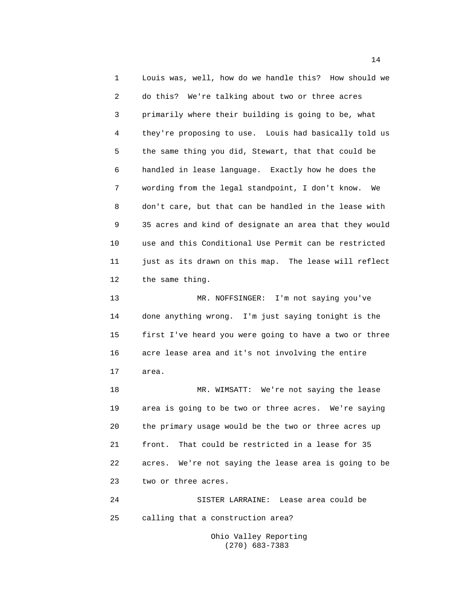1 Louis was, well, how do we handle this? How should we 2 do this? We're talking about two or three acres 3 primarily where their building is going to be, what 4 they're proposing to use. Louis had basically told us 5 the same thing you did, Stewart, that that could be 6 handled in lease language. Exactly how he does the 7 wording from the legal standpoint, I don't know. We 8 don't care, but that can be handled in the lease with 9 35 acres and kind of designate an area that they would 10 use and this Conditional Use Permit can be restricted 11 just as its drawn on this map. The lease will reflect 12 the same thing. 13 MR. NOFFSINGER: I'm not saying you've 14 done anything wrong. I'm just saying tonight is the 15 first I've heard you were going to have a two or three 16 acre lease area and it's not involving the entire 17 area. 18 MR. WIMSATT: We're not saying the lease

19 area is going to be two or three acres. We're saying 20 the primary usage would be the two or three acres up 21 front. That could be restricted in a lease for 35 22 acres. We're not saying the lease area is going to be 23 two or three acres.

24 SISTER LARRAINE: Lease area could be 25 calling that a construction area?

> Ohio Valley Reporting (270) 683-7383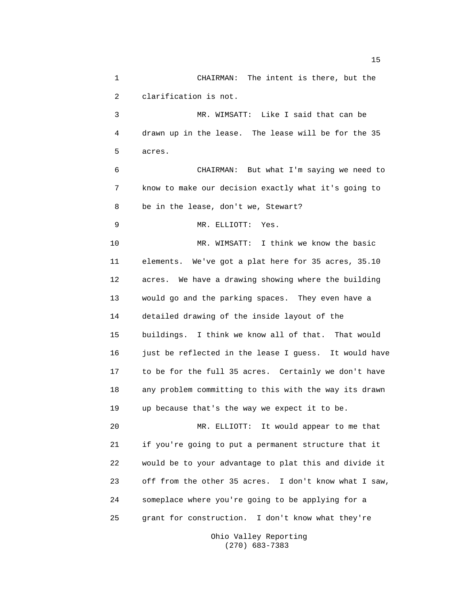1 CHAIRMAN: The intent is there, but the 2 clarification is not. 3 MR. WIMSATT: Like I said that can be 4 drawn up in the lease. The lease will be for the 35 5 acres. 6 CHAIRMAN: But what I'm saying we need to 7 know to make our decision exactly what it's going to 8 be in the lease, don't we, Stewart? 9 MR. ELLIOTT: Yes. 10 MR. WIMSATT: I think we know the basic 11 elements. We've got a plat here for 35 acres, 35.10 12 acres. We have a drawing showing where the building 13 would go and the parking spaces. They even have a 14 detailed drawing of the inside layout of the 15 buildings. I think we know all of that. That would 16 just be reflected in the lease I guess. It would have 17 to be for the full 35 acres. Certainly we don't have 18 any problem committing to this with the way its drawn 19 up because that's the way we expect it to be. 20 MR. ELLIOTT: It would appear to me that 21 if you're going to put a permanent structure that it 22 would be to your advantage to plat this and divide it 23 off from the other 35 acres. I don't know what I saw, 24 someplace where you're going to be applying for a 25 grant for construction. I don't know what they're

Ohio Valley Reporting (270) 683-7383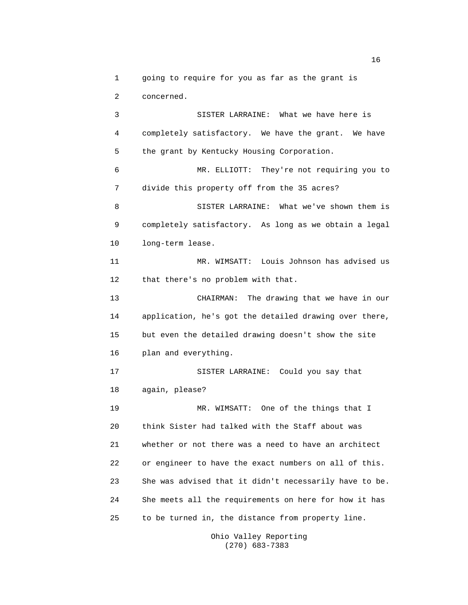1 going to require for you as far as the grant is 2 concerned.

3 SISTER LARRAINE: What we have here is 4 completely satisfactory. We have the grant. We have 5 the grant by Kentucky Housing Corporation. 6 MR. ELLIOTT: They're not requiring you to 7 divide this property off from the 35 acres? 8 SISTER LARRAINE: What we've shown them is 9 completely satisfactory. As long as we obtain a legal 10 long-term lease. 11 MR. WIMSATT: Louis Johnson has advised us 12 that there's no problem with that. 13 CHAIRMAN: The drawing that we have in our 14 application, he's got the detailed drawing over there, 15 but even the detailed drawing doesn't show the site 16 plan and everything. 17 SISTER LARRAINE: Could you say that 18 again, please? 19 MR. WIMSATT: One of the things that I 20 think Sister had talked with the Staff about was 21 whether or not there was a need to have an architect 22 or engineer to have the exact numbers on all of this. 23 She was advised that it didn't necessarily have to be. 24 She meets all the requirements on here for how it has 25 to be turned in, the distance from property line.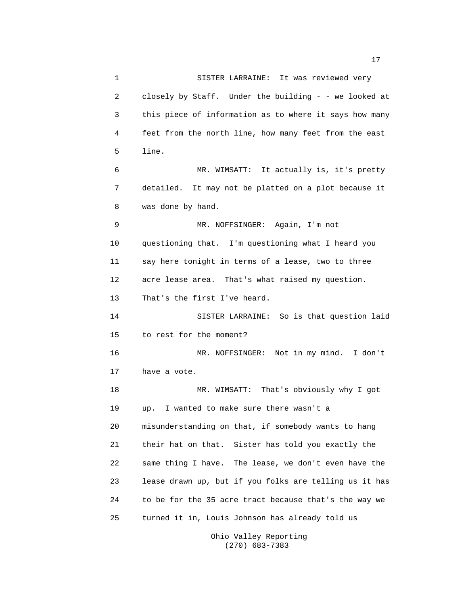| $\mathbf 1$ | SISTER LARRAINE: It was reviewed very                  |
|-------------|--------------------------------------------------------|
| 2           | closely by Staff. Under the building - - we looked at  |
| 3           | this piece of information as to where it says how many |
| 4           | feet from the north line, how many feet from the east  |
| 5           | line.                                                  |
| 6           | MR. WIMSATT: It actually is, it's pretty               |
| 7           | detailed. It may not be platted on a plot because it   |
| 8           | was done by hand.                                      |
| 9           | MR. NOFFSINGER: Again, I'm not                         |
| 10          | questioning that. I'm questioning what I heard you     |
| 11          | say here tonight in terms of a lease, two to three     |
| 12          | acre lease area. That's what raised my question.       |
| 13          | That's the first I've heard.                           |
| 14          | SISTER LARRAINE: So is that question laid              |
| 15          | to rest for the moment?                                |
| 16          | MR. NOFFSINGER: Not in my mind. I don't                |
| 17          | have a vote.                                           |
| 18          | MR. WIMSATT: That's obviously why I got                |
| 19          | I wanted to make sure there wasn't a<br>up.            |
| 20          | misunderstanding on that, if somebody wants to hang    |
| 21          | their hat on that. Sister has told you exactly the     |
| 22          | same thing I have. The lease, we don't even have the   |
| 23          | lease drawn up, but if you folks are telling us it has |
| 24          | to be for the 35 acre tract because that's the way we  |
| 25          | turned it in, Louis Johnson has already told us        |
|             |                                                        |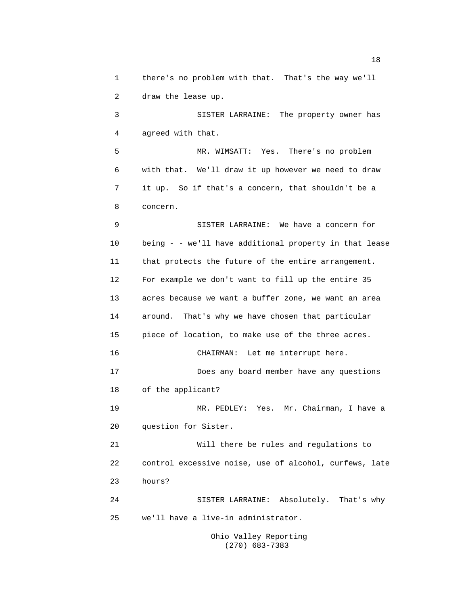1 there's no problem with that. That's the way we'll 2 draw the lease up.

3 SISTER LARRAINE: The property owner has 4 agreed with that.

5 MR. WIMSATT: Yes. There's no problem 6 with that. We'll draw it up however we need to draw 7 it up. So if that's a concern, that shouldn't be a 8 concern.

9 SISTER LARRAINE: We have a concern for 10 being - - we'll have additional property in that lease 11 that protects the future of the entire arrangement. 12 For example we don't want to fill up the entire 35 13 acres because we want a buffer zone, we want an area 14 around. That's why we have chosen that particular 15 piece of location, to make use of the three acres. 16 CHAIRMAN: Let me interrupt here. 17 Does any board member have any questions 18 of the applicant? 19 MR. PEDLEY: Yes. Mr. Chairman, I have a 20 question for Sister. 21 Will there be rules and regulations to 22 control excessive noise, use of alcohol, curfews, late 23 hours? 24 SISTER LARRAINE: Absolutely. That's why 25 we'll have a live-in administrator.

Ohio Valley Reporting (270) 683-7383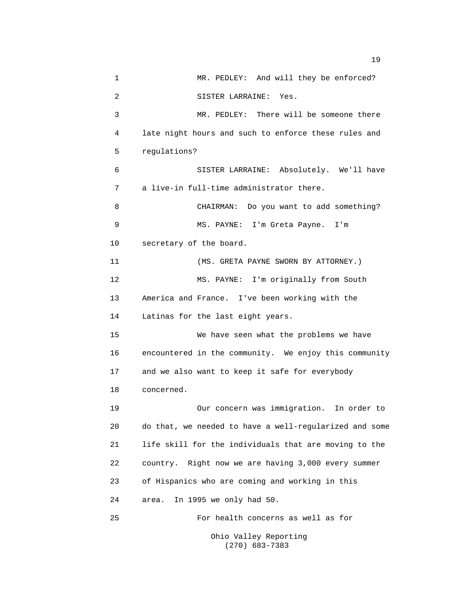1 MR. PEDLEY: And will they be enforced? 2 SISTER LARRAINE: Yes. 3 MR. PEDLEY: There will be someone there 4 late night hours and such to enforce these rules and 5 regulations? 6 SISTER LARRAINE: Absolutely. We'll have 7 a live-in full-time administrator there. 8 CHAIRMAN: Do you want to add something? 9 MS. PAYNE: I'm Greta Payne. I'm 10 secretary of the board. 11 (MS. GRETA PAYNE SWORN BY ATTORNEY.) 12 MS. PAYNE: I'm originally from South 13 America and France. I've been working with the 14 Latinas for the last eight years. 15 We have seen what the problems we have 16 encountered in the community. We enjoy this community 17 and we also want to keep it safe for everybody 18 concerned. 19 Our concern was immigration. In order to 20 do that, we needed to have a well-regularized and some 21 life skill for the individuals that are moving to the 22 country. Right now we are having 3,000 every summer 23 of Hispanics who are coming and working in this 24 area. In 1995 we only had 50. 25 For health concerns as well as for Ohio Valley Reporting

(270) 683-7383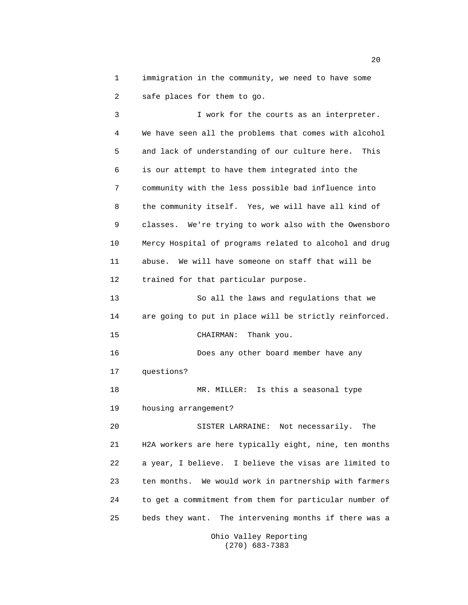1 immigration in the community, we need to have some 2 safe places for them to go.

3 I work for the courts as an interpreter. 4 We have seen all the problems that comes with alcohol 5 and lack of understanding of our culture here. This 6 is our attempt to have them integrated into the 7 community with the less possible bad influence into 8 the community itself. Yes, we will have all kind of 9 classes. We're trying to work also with the Owensboro 10 Mercy Hospital of programs related to alcohol and drug 11 abuse. We will have someone on staff that will be 12 trained for that particular purpose. 13 So all the laws and regulations that we 14 are going to put in place will be strictly reinforced. 15 CHAIRMAN: Thank you. 16 Does any other board member have any 17 questions? 18 MR. MILLER: Is this a seasonal type 19 housing arrangement? 20 SISTER LARRAINE: Not necessarily. The 21 H2A workers are here typically eight, nine, ten months 22 a year, I believe. I believe the visas are limited to 23 ten months. We would work in partnership with farmers 24 to get a commitment from them for particular number of 25 beds they want. The intervening months if there was a

> Ohio Valley Reporting (270) 683-7383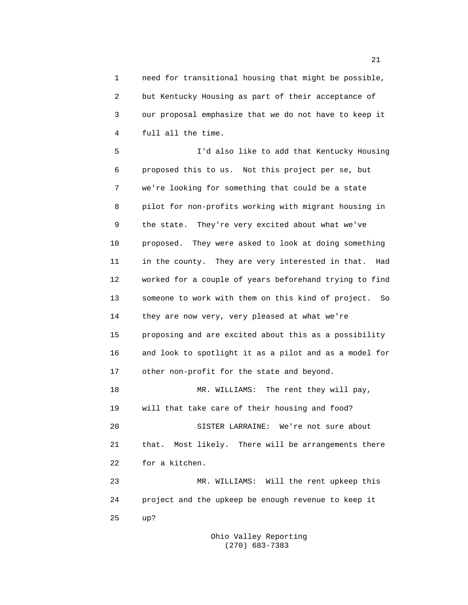1 need for transitional housing that might be possible, 2 but Kentucky Housing as part of their acceptance of 3 our proposal emphasize that we do not have to keep it 4 full all the time.

5 I'd also like to add that Kentucky Housing 6 proposed this to us. Not this project per se, but 7 we're looking for something that could be a state 8 pilot for non-profits working with migrant housing in 9 the state. They're very excited about what we've 10 proposed. They were asked to look at doing something 11 in the county. They are very interested in that. Had 12 worked for a couple of years beforehand trying to find 13 someone to work with them on this kind of project. So 14 they are now very, very pleased at what we're 15 proposing and are excited about this as a possibility 16 and look to spotlight it as a pilot and as a model for 17 other non-profit for the state and beyond. 18 MR. WILLIAMS: The rent they will pay, 19 will that take care of their housing and food? 20 SISTER LARRAINE: We're not sure about 21 that. Most likely. There will be arrangements there 22 for a kitchen. 23 MR. WILLIAMS: Will the rent upkeep this 24 project and the upkeep be enough revenue to keep it

> Ohio Valley Reporting (270) 683-7383

25 up?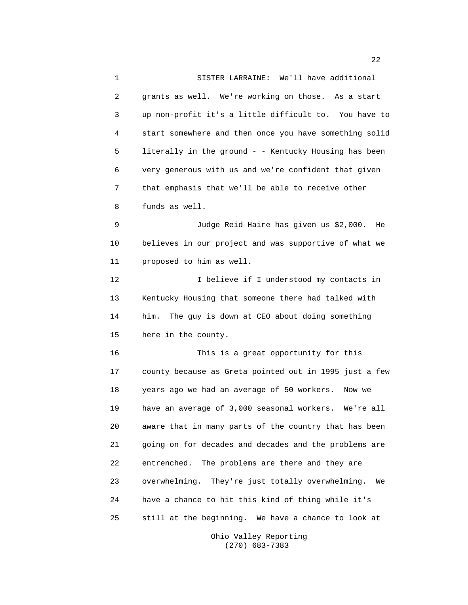1 SISTER LARRAINE: We'll have additional 2 grants as well. We're working on those. As a start 3 up non-profit it's a little difficult to. You have to 4 start somewhere and then once you have something solid 5 literally in the ground - - Kentucky Housing has been 6 very generous with us and we're confident that given 7 that emphasis that we'll be able to receive other 8 funds as well. 9 Judge Reid Haire has given us \$2,000. He 10 believes in our project and was supportive of what we 11 proposed to him as well.

12 I believe if I understood my contacts in 13 Kentucky Housing that someone there had talked with 14 him. The guy is down at CEO about doing something 15 here in the county.

16 This is a great opportunity for this 17 county because as Greta pointed out in 1995 just a few 18 years ago we had an average of 50 workers. Now we 19 have an average of 3,000 seasonal workers. We're all 20 aware that in many parts of the country that has been 21 going on for decades and decades and the problems are 22 entrenched. The problems are there and they are 23 overwhelming. They're just totally overwhelming. We 24 have a chance to hit this kind of thing while it's 25 still at the beginning. We have a chance to look at

> Ohio Valley Reporting (270) 683-7383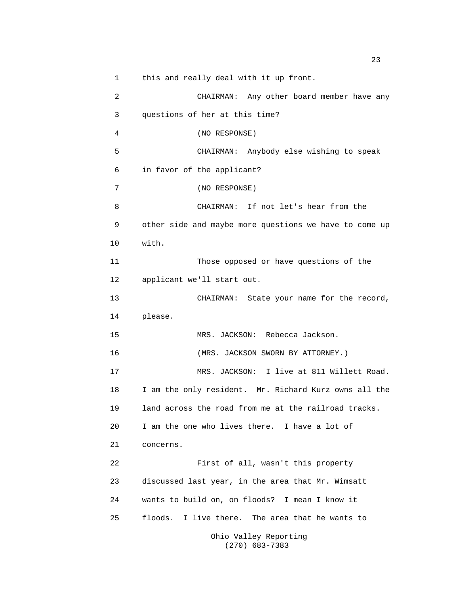1 this and really deal with it up front. 2 CHAIRMAN: Any other board member have any 3 questions of her at this time? 4 (NO RESPONSE) 5 CHAIRMAN: Anybody else wishing to speak 6 in favor of the applicant? 7 (NO RESPONSE) 8 CHAIRMAN: If not let's hear from the 9 other side and maybe more questions we have to come up 10 with. 11 Those opposed or have questions of the 12 applicant we'll start out. 13 CHAIRMAN: State your name for the record, 14 please. 15 MRS. JACKSON: Rebecca Jackson. 16 (MRS. JACKSON SWORN BY ATTORNEY.) 17 MRS. JACKSON: I live at 811 Willett Road. 18 I am the only resident. Mr. Richard Kurz owns all the 19 land across the road from me at the railroad tracks. 20 I am the one who lives there. I have a lot of 21 concerns. 22 First of all, wasn't this property 23 discussed last year, in the area that Mr. Wimsatt 24 wants to build on, on floods? I mean I know it 25 floods. I live there. The area that he wants to Ohio Valley Reporting

(270) 683-7383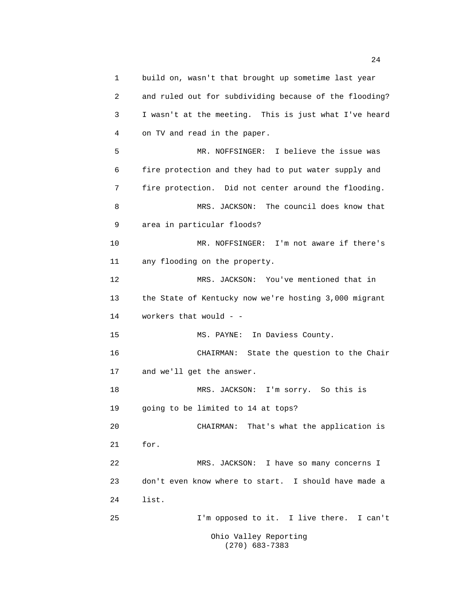1 build on, wasn't that brought up sometime last year 2 and ruled out for subdividing because of the flooding? 3 I wasn't at the meeting. This is just what I've heard 4 on TV and read in the paper. 5 MR. NOFFSINGER: I believe the issue was 6 fire protection and they had to put water supply and 7 fire protection. Did not center around the flooding. 8 MRS. JACKSON: The council does know that 9 area in particular floods? 10 MR. NOFFSINGER: I'm not aware if there's 11 any flooding on the property. 12 MRS. JACKSON: You've mentioned that in 13 the State of Kentucky now we're hosting 3,000 migrant 14 workers that would - - 15 MS. PAYNE: In Daviess County. 16 CHAIRMAN: State the question to the Chair 17 and we'll get the answer. 18 MRS. JACKSON: I'm sorry. So this is 19 going to be limited to 14 at tops? 20 CHAIRMAN: That's what the application is 21 for. 22 MRS. JACKSON: I have so many concerns I 23 don't even know where to start. I should have made a 24 list. 25 I'm opposed to it. I live there. I can't Ohio Valley Reporting (270) 683-7383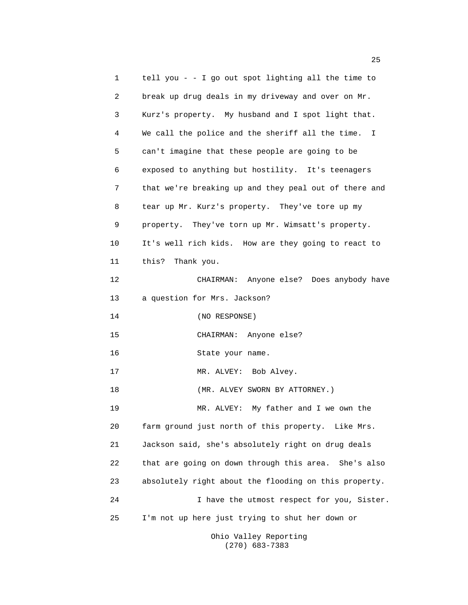1 tell you - - I go out spot lighting all the time to 2 break up drug deals in my driveway and over on Mr. 3 Kurz's property. My husband and I spot light that. 4 We call the police and the sheriff all the time. I 5 can't imagine that these people are going to be 6 exposed to anything but hostility. It's teenagers 7 that we're breaking up and they peal out of there and 8 tear up Mr. Kurz's property. They've tore up my 9 property. They've torn up Mr. Wimsatt's property. 10 It's well rich kids. How are they going to react to 11 this? Thank you. 12 CHAIRMAN: Anyone else? Does anybody have 13 a question for Mrs. Jackson? 14 (NO RESPONSE) 15 CHAIRMAN: Anyone else? 16 State your name. 17 MR. ALVEY: Bob Alvey. 18 (MR. ALVEY SWORN BY ATTORNEY.) 19 MR. ALVEY: My father and I we own the 20 farm ground just north of this property. Like Mrs. 21 Jackson said, she's absolutely right on drug deals 22 that are going on down through this area. She's also 23 absolutely right about the flooding on this property. 24 I have the utmost respect for you, Sister. 25 I'm not up here just trying to shut her down or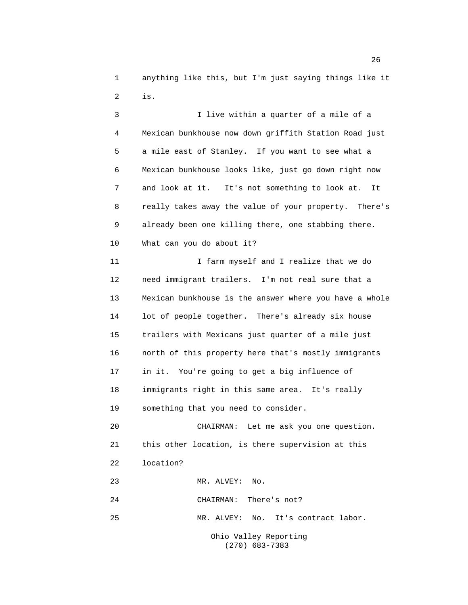1 anything like this, but I'm just saying things like it 2 is.

3 I live within a quarter of a mile of a 4 Mexican bunkhouse now down griffith Station Road just 5 a mile east of Stanley. If you want to see what a 6 Mexican bunkhouse looks like, just go down right now 7 and look at it. It's not something to look at. It 8 really takes away the value of your property. There's 9 already been one killing there, one stabbing there. 10 What can you do about it? 11 11 I farm myself and I realize that we do 12 need immigrant trailers. I'm not real sure that a 13 Mexican bunkhouse is the answer where you have a whole 14 lot of people together. There's already six house 15 trailers with Mexicans just quarter of a mile just 16 north of this property here that's mostly immigrants 17 in it. You're going to get a big influence of 18 immigrants right in this same area. It's really 19 something that you need to consider. 20 CHAIRMAN: Let me ask you one question. 21 this other location, is there supervision at this 22 location? 23 MR. ALVEY: No. 24 CHAIRMAN: There's not? 25 MR. ALVEY: No. It's contract labor.

> Ohio Valley Reporting (270) 683-7383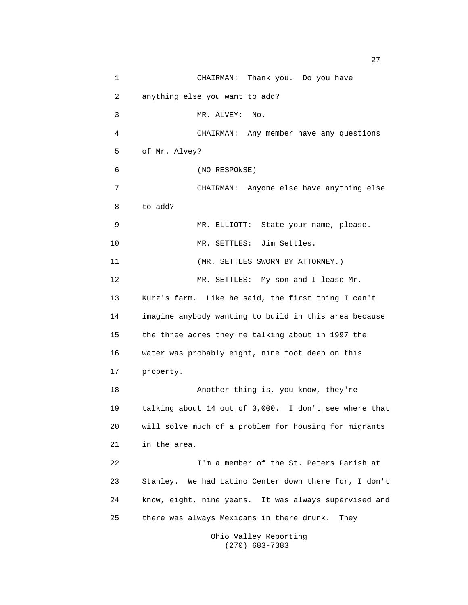1 CHAIRMAN: Thank you. Do you have 2 anything else you want to add? 3 MR. ALVEY: No. 4 CHAIRMAN: Any member have any questions 5 of Mr. Alvey? 6 (NO RESPONSE) 7 CHAIRMAN: Anyone else have anything else 8 to add? 9 MR. ELLIOTT: State your name, please. 10 MR. SETTLES: Jim Settles. 11 (MR. SETTLES SWORN BY ATTORNEY.) 12 MR. SETTLES: My son and I lease Mr. 13 Kurz's farm. Like he said, the first thing I can't 14 imagine anybody wanting to build in this area because 15 the three acres they're talking about in 1997 the 16 water was probably eight, nine foot deep on this 17 property. 18 Another thing is, you know, they're 19 talking about 14 out of 3,000. I don't see where that 20 will solve much of a problem for housing for migrants 21 in the area. 22 I'm a member of the St. Peters Parish at 23 Stanley. We had Latino Center down there for, I don't 24 know, eight, nine years. It was always supervised and 25 there was always Mexicans in there drunk. They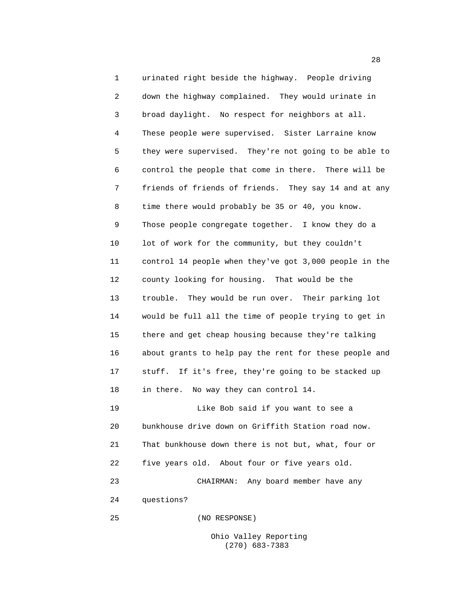1 urinated right beside the highway. People driving 2 down the highway complained. They would urinate in 3 broad daylight. No respect for neighbors at all. 4 These people were supervised. Sister Larraine know 5 they were supervised. They're not going to be able to 6 control the people that come in there. There will be 7 friends of friends of friends. They say 14 and at any 8 time there would probably be 35 or 40, you know. 9 Those people congregate together. I know they do a 10 lot of work for the community, but they couldn't 11 control 14 people when they've got 3,000 people in the 12 county looking for housing. That would be the 13 trouble. They would be run over. Their parking lot 14 would be full all the time of people trying to get in 15 there and get cheap housing because they're talking 16 about grants to help pay the rent for these people and 17 stuff. If it's free, they're going to be stacked up 18 in there. No way they can control 14. 19 Like Bob said if you want to see a 20 bunkhouse drive down on Griffith Station road now. 21 That bunkhouse down there is not but, what, four or 22 five years old. About four or five years old. 23 CHAIRMAN: Any board member have any 24 questions? 25 (NO RESPONSE)

> Ohio Valley Reporting (270) 683-7383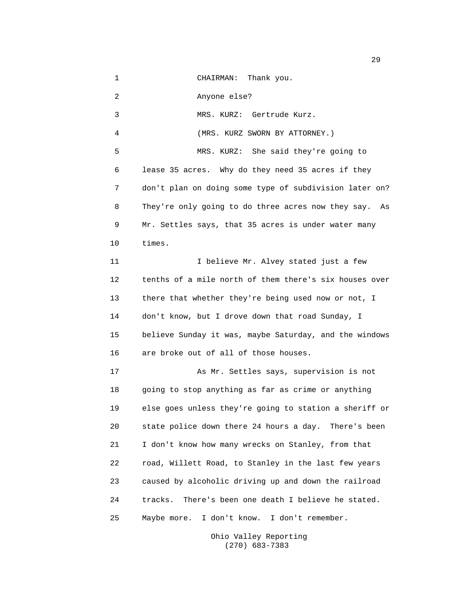1 CHAIRMAN: Thank you. 2 Anyone else? 3 MRS. KURZ: Gertrude Kurz. 4 (MRS. KURZ SWORN BY ATTORNEY.) 5 MRS. KURZ: She said they're going to 6 lease 35 acres. Why do they need 35 acres if they 7 don't plan on doing some type of subdivision later on? 8 They're only going to do three acres now they say. As 9 Mr. Settles says, that 35 acres is under water many 10 times. 11 1 I believe Mr. Alvey stated just a few 12 tenths of a mile north of them there's six houses over 13 there that whether they're being used now or not, I 14 don't know, but I drove down that road Sunday, I 15 believe Sunday it was, maybe Saturday, and the windows 16 are broke out of all of those houses. 17 As Mr. Settles says, supervision is not 18 going to stop anything as far as crime or anything 19 else goes unless they're going to station a sheriff or 20 state police down there 24 hours a day. There's been 21 I don't know how many wrecks on Stanley, from that 22 road, Willett Road, to Stanley in the last few years 23 caused by alcoholic driving up and down the railroad 24 tracks. There's been one death I believe he stated. 25 Maybe more. I don't know. I don't remember.

> Ohio Valley Reporting (270) 683-7383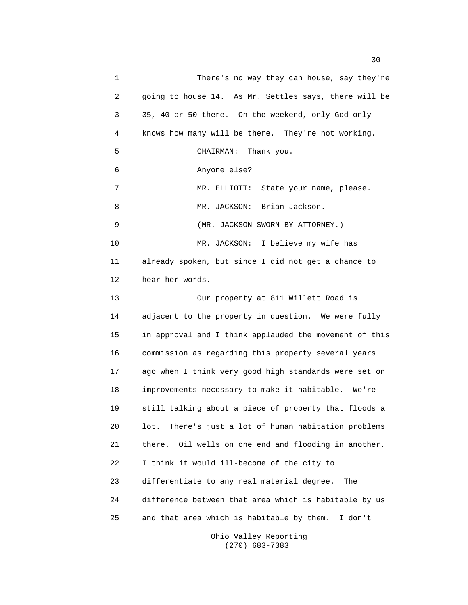1 There's no way they can house, say they're 2 going to house 14. As Mr. Settles says, there will be 3 35, 40 or 50 there. On the weekend, only God only 4 knows how many will be there. They're not working. 5 CHAIRMAN: Thank you. 6 Anyone else? 7 MR. ELLIOTT: State your name, please. 8 MR. JACKSON: Brian Jackson. 9 (MR. JACKSON SWORN BY ATTORNEY.) 10 MR. JACKSON: I believe my wife has 11 already spoken, but since I did not get a chance to 12 hear her words. 13 Our property at 811 Willett Road is 14 adjacent to the property in question. We were fully 15 in approval and I think applauded the movement of this 16 commission as regarding this property several years 17 ago when I think very good high standards were set on 18 improvements necessary to make it habitable. We're 19 still talking about a piece of property that floods a 20 lot. There's just a lot of human habitation problems 21 there. Oil wells on one end and flooding in another. 22 I think it would ill-become of the city to 23 differentiate to any real material degree. The 24 difference between that area which is habitable by us 25 and that area which is habitable by them. I don't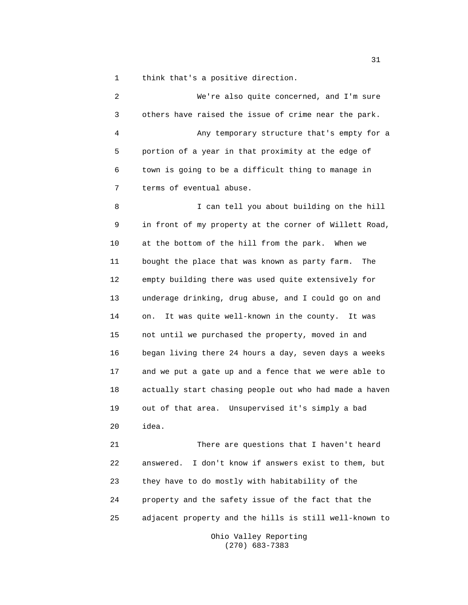1 think that's a positive direction.

2 We're also quite concerned, and I'm sure 3 others have raised the issue of crime near the park. 4 Any temporary structure that's empty for a 5 portion of a year in that proximity at the edge of 6 town is going to be a difficult thing to manage in 7 terms of eventual abuse. 8 I can tell you about building on the hill 9 in front of my property at the corner of Willett Road, 10 at the bottom of the hill from the park. When we 11 bought the place that was known as party farm. The 12 empty building there was used quite extensively for 13 underage drinking, drug abuse, and I could go on and 14 on. It was quite well-known in the county. It was 15 not until we purchased the property, moved in and 16 began living there 24 hours a day, seven days a weeks 17 and we put a gate up and a fence that we were able to 18 actually start chasing people out who had made a haven 19 out of that area. Unsupervised it's simply a bad 20 idea. 21 There are questions that I haven't heard 22 answered. I don't know if answers exist to them, but 23 they have to do mostly with habitability of the 24 property and the safety issue of the fact that the 25 adjacent property and the hills is still well-known to

> Ohio Valley Reporting (270) 683-7383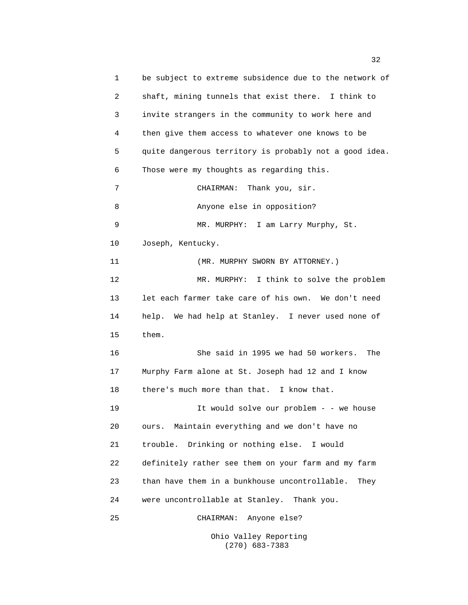1 be subject to extreme subsidence due to the network of 2 shaft, mining tunnels that exist there. I think to 3 invite strangers in the community to work here and 4 then give them access to whatever one knows to be 5 quite dangerous territory is probably not a good idea. 6 Those were my thoughts as regarding this. 7 CHAIRMAN: Thank you, sir. 8 Anyone else in opposition? 9 MR. MURPHY: I am Larry Murphy, St. 10 Joseph, Kentucky. 11 (MR. MURPHY SWORN BY ATTORNEY.) 12 MR. MURPHY: I think to solve the problem 13 let each farmer take care of his own. We don't need 14 help. We had help at Stanley. I never used none of 15 them. 16 She said in 1995 we had 50 workers. The 17 Murphy Farm alone at St. Joseph had 12 and I know 18 there's much more than that. I know that. 19 19 It would solve our problem - - we house 20 ours. Maintain everything and we don't have no 21 trouble. Drinking or nothing else. I would 22 definitely rather see them on your farm and my farm 23 than have them in a bunkhouse uncontrollable. They 24 were uncontrollable at Stanley. Thank you. 25 CHAIRMAN: Anyone else?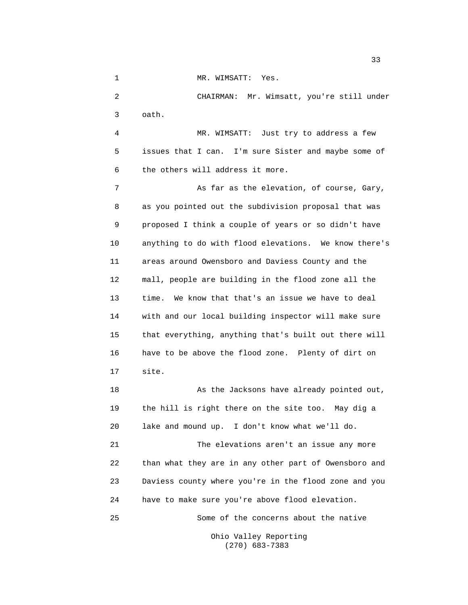1 MR. WIMSATT: Yes. 2 CHAIRMAN: Mr. Wimsatt, you're still under 3 oath. 4 MR. WIMSATT: Just try to address a few 5 issues that I can. I'm sure Sister and maybe some of 6 the others will address it more. 7 As far as the elevation, of course, Gary, 8 as you pointed out the subdivision proposal that was 9 proposed I think a couple of years or so didn't have 10 anything to do with flood elevations. We know there's 11 areas around Owensboro and Daviess County and the 12 mall, people are building in the flood zone all the 13 time. We know that that's an issue we have to deal 14 with and our local building inspector will make sure 15 that everything, anything that's built out there will 16 have to be above the flood zone. Plenty of dirt on 17 site. 18 As the Jacksons have already pointed out, 19 the hill is right there on the site too. May dig a 20 lake and mound up. I don't know what we'll do. 21 The elevations aren't an issue any more 22 than what they are in any other part of Owensboro and 23 Daviess county where you're in the flood zone and you 24 have to make sure you're above flood elevation. 25 Some of the concerns about the native Ohio Valley Reporting (270) 683-7383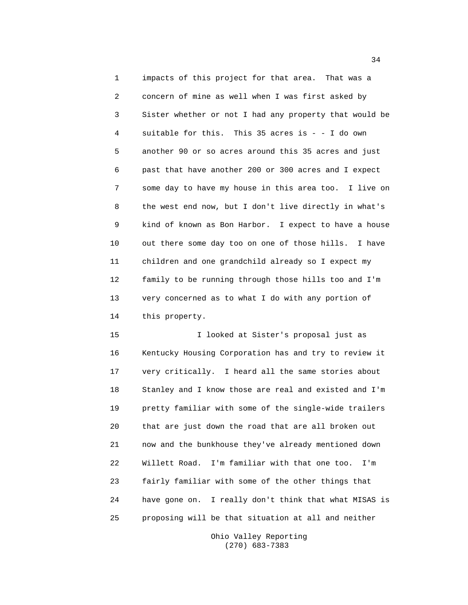1 impacts of this project for that area. That was a 2 concern of mine as well when I was first asked by 3 Sister whether or not I had any property that would be 4 suitable for this. This 35 acres is - - I do own 5 another 90 or so acres around this 35 acres and just 6 past that have another 200 or 300 acres and I expect 7 some day to have my house in this area too. I live on 8 the west end now, but I don't live directly in what's 9 kind of known as Bon Harbor. I expect to have a house 10 out there some day too on one of those hills. I have 11 children and one grandchild already so I expect my 12 family to be running through those hills too and I'm 13 very concerned as to what I do with any portion of 14 this property.

15 I looked at Sister's proposal just as 16 Kentucky Housing Corporation has and try to review it 17 very critically. I heard all the same stories about 18 Stanley and I know those are real and existed and I'm 19 pretty familiar with some of the single-wide trailers 20 that are just down the road that are all broken out 21 now and the bunkhouse they've already mentioned down 22 Willett Road. I'm familiar with that one too. I'm 23 fairly familiar with some of the other things that 24 have gone on. I really don't think that what MISAS is 25 proposing will be that situation at all and neither

> Ohio Valley Reporting (270) 683-7383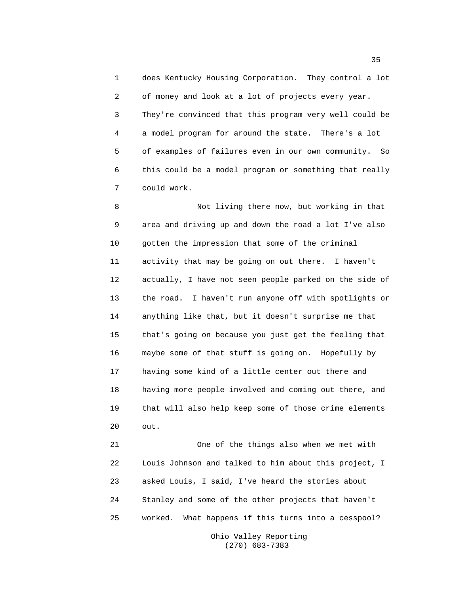1 does Kentucky Housing Corporation. They control a lot 2 of money and look at a lot of projects every year. 3 They're convinced that this program very well could be 4 a model program for around the state. There's a lot 5 of examples of failures even in our own community. So 6 this could be a model program or something that really 7 could work.

8 Not living there now, but working in that 9 area and driving up and down the road a lot I've also 10 gotten the impression that some of the criminal 11 activity that may be going on out there. I haven't 12 actually, I have not seen people parked on the side of 13 the road. I haven't run anyone off with spotlights or 14 anything like that, but it doesn't surprise me that 15 that's going on because you just get the feeling that 16 maybe some of that stuff is going on. Hopefully by 17 having some kind of a little center out there and 18 having more people involved and coming out there, and 19 that will also help keep some of those crime elements 20 out.

21 One of the things also when we met with 22 Louis Johnson and talked to him about this project, I 23 asked Louis, I said, I've heard the stories about 24 Stanley and some of the other projects that haven't 25 worked. What happens if this turns into a cesspool?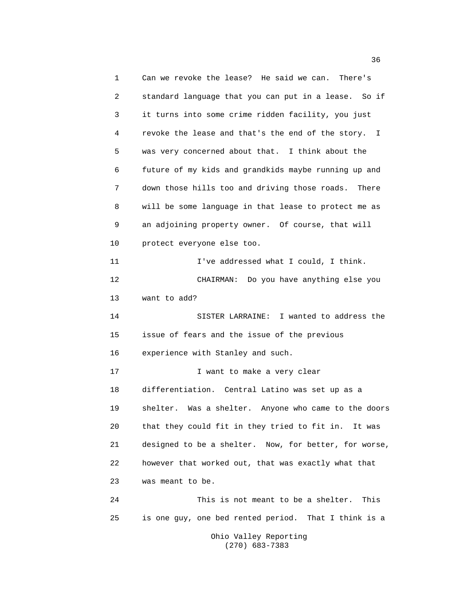1 Can we revoke the lease? He said we can. There's 2 standard language that you can put in a lease. So if 3 it turns into some crime ridden facility, you just 4 revoke the lease and that's the end of the story. I 5 was very concerned about that. I think about the 6 future of my kids and grandkids maybe running up and 7 down those hills too and driving those roads. There 8 will be some language in that lease to protect me as 9 an adjoining property owner. Of course, that will 10 protect everyone else too. 11 I've addressed what I could, I think. 12 CHAIRMAN: Do you have anything else you 13 want to add? 14 SISTER LARRAINE: I wanted to address the 15 issue of fears and the issue of the previous 16 experience with Stanley and such. 17 17 I want to make a very clear 18 differentiation. Central Latino was set up as a 19 shelter. Was a shelter. Anyone who came to the doors 20 that they could fit in they tried to fit in. It was 21 designed to be a shelter. Now, for better, for worse, 22 however that worked out, that was exactly what that 23 was meant to be. 24 This is not meant to be a shelter. This 25 is one guy, one bed rented period. That I think is a Ohio Valley Reporting

(270) 683-7383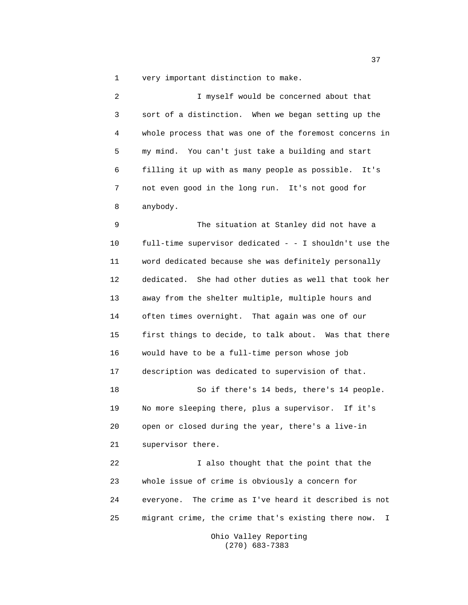1 very important distinction to make.

2 I myself would be concerned about that 3 sort of a distinction. When we began setting up the 4 whole process that was one of the foremost concerns in 5 my mind. You can't just take a building and start 6 filling it up with as many people as possible. It's 7 not even good in the long run. It's not good for 8 anybody.

9 The situation at Stanley did not have a 10 full-time supervisor dedicated - - I shouldn't use the 11 word dedicated because she was definitely personally 12 dedicated. She had other duties as well that took her 13 away from the shelter multiple, multiple hours and 14 often times overnight. That again was one of our 15 first things to decide, to talk about. Was that there 16 would have to be a full-time person whose job 17 description was dedicated to supervision of that. 18 So if there's 14 beds, there's 14 people. 19 No more sleeping there, plus a supervisor. If it's 20 open or closed during the year, there's a live-in 21 supervisor there. 22 I also thought that the point that the 23 whole issue of crime is obviously a concern for 24 everyone. The crime as I've heard it described is not 25 migrant crime, the crime that's existing there now. I

> Ohio Valley Reporting (270) 683-7383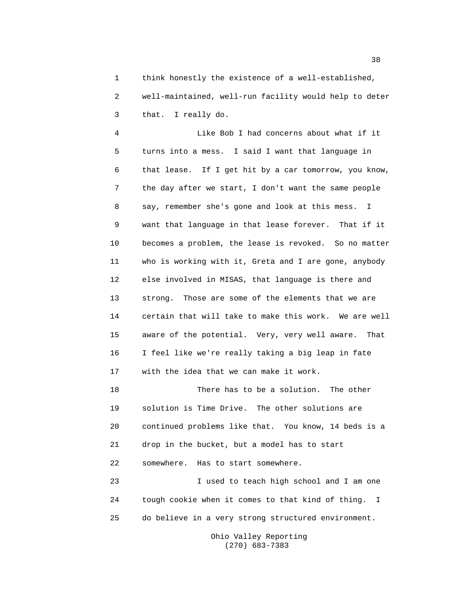1 think honestly the existence of a well-established, 2 well-maintained, well-run facility would help to deter 3 that. I really do.

4 Like Bob I had concerns about what if it 5 turns into a mess. I said I want that language in 6 that lease. If I get hit by a car tomorrow, you know, 7 the day after we start, I don't want the same people 8 say, remember she's gone and look at this mess. I 9 want that language in that lease forever. That if it 10 becomes a problem, the lease is revoked. So no matter 11 who is working with it, Greta and I are gone, anybody 12 else involved in MISAS, that language is there and 13 strong. Those are some of the elements that we are 14 certain that will take to make this work. We are well 15 aware of the potential. Very, very well aware. That 16 I feel like we're really taking a big leap in fate 17 with the idea that we can make it work.

18 There has to be a solution. The other 19 solution is Time Drive. The other solutions are 20 continued problems like that. You know, 14 beds is a 21 drop in the bucket, but a model has to start 22 somewhere. Has to start somewhere.

23 I used to teach high school and I am one 24 tough cookie when it comes to that kind of thing. I 25 do believe in a very strong structured environment.

> Ohio Valley Reporting (270) 683-7383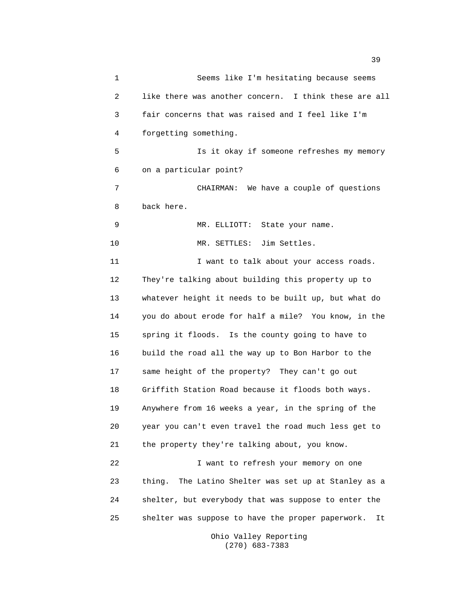1 Seems like I'm hesitating because seems 2 like there was another concern. I think these are all 3 fair concerns that was raised and I feel like I'm 4 forgetting something. 5 Is it okay if someone refreshes my memory 6 on a particular point? 7 CHAIRMAN: We have a couple of questions 8 back here. 9 MR. ELLIOTT: State your name. 10 MR. SETTLES: Jim Settles. 11 **I** want to talk about your access roads. 12 They're talking about building this property up to 13 whatever height it needs to be built up, but what do 14 you do about erode for half a mile? You know, in the 15 spring it floods. Is the county going to have to 16 build the road all the way up to Bon Harbor to the 17 same height of the property? They can't go out 18 Griffith Station Road because it floods both ways. 19 Anywhere from 16 weeks a year, in the spring of the 20 year you can't even travel the road much less get to 21 the property they're talking about, you know. 22 I want to refresh your memory on one 23 thing. The Latino Shelter was set up at Stanley as a 24 shelter, but everybody that was suppose to enter the 25 shelter was suppose to have the proper paperwork. It

> Ohio Valley Reporting (270) 683-7383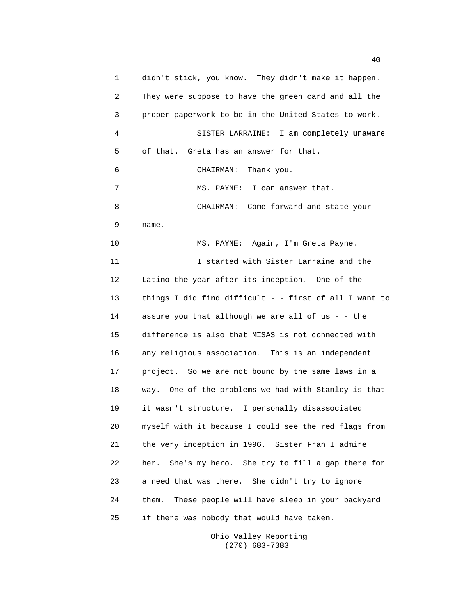1 didn't stick, you know. They didn't make it happen. 2 They were suppose to have the green card and all the 3 proper paperwork to be in the United States to work. 4 SISTER LARRAINE: I am completely unaware 5 of that. Greta has an answer for that. 6 CHAIRMAN: Thank you. 7 MS. PAYNE: I can answer that. 8 CHAIRMAN: Come forward and state your 9 name. 10 MS. PAYNE: Again, I'm Greta Payne. 11 I started with Sister Larraine and the 12 Latino the year after its inception. One of the 13 things I did find difficult - - first of all I want to 14 assure you that although we are all of us - - the 15 difference is also that MISAS is not connected with 16 any religious association. This is an independent 17 project. So we are not bound by the same laws in a 18 way. One of the problems we had with Stanley is that 19 it wasn't structure. I personally disassociated 20 myself with it because I could see the red flags from 21 the very inception in 1996. Sister Fran I admire 22 her. She's my hero. She try to fill a gap there for 23 a need that was there. She didn't try to ignore 24 them. These people will have sleep in your backyard 25 if there was nobody that would have taken.

> Ohio Valley Reporting (270) 683-7383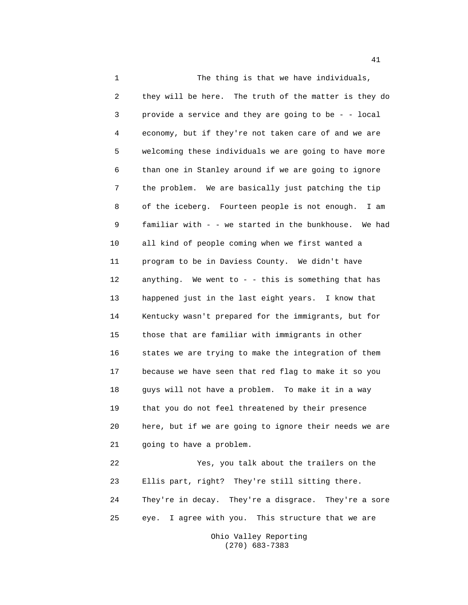1 The thing is that we have individuals, 2 they will be here. The truth of the matter is they do 3 provide a service and they are going to be - - local 4 economy, but if they're not taken care of and we are 5 welcoming these individuals we are going to have more 6 than one in Stanley around if we are going to ignore 7 the problem. We are basically just patching the tip 8 of the iceberg. Fourteen people is not enough. I am 9 familiar with - - we started in the bunkhouse. We had 10 all kind of people coming when we first wanted a 11 program to be in Daviess County. We didn't have 12 anything. We went to - - this is something that has 13 happened just in the last eight years. I know that 14 Kentucky wasn't prepared for the immigrants, but for 15 those that are familiar with immigrants in other 16 states we are trying to make the integration of them 17 because we have seen that red flag to make it so you 18 guys will not have a problem. To make it in a way 19 that you do not feel threatened by their presence 20 here, but if we are going to ignore their needs we are 21 going to have a problem. 22 Yes, you talk about the trailers on the 23 Ellis part, right? They're still sitting there. 24 They're in decay. They're a disgrace. They're a sore 25 eye. I agree with you. This structure that we are

> Ohio Valley Reporting (270) 683-7383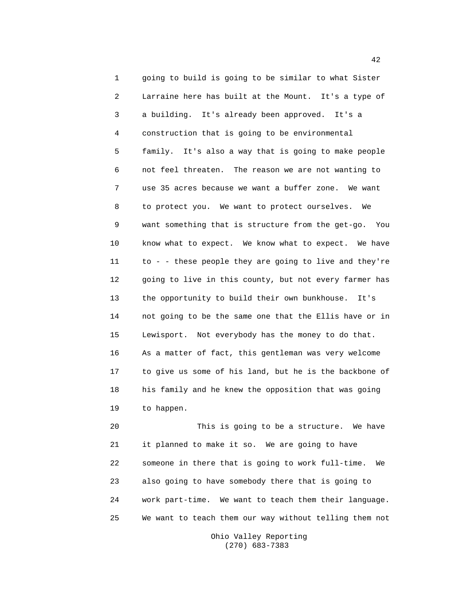1 going to build is going to be similar to what Sister 2 Larraine here has built at the Mount. It's a type of 3 a building. It's already been approved. It's a 4 construction that is going to be environmental 5 family. It's also a way that is going to make people 6 not feel threaten. The reason we are not wanting to 7 use 35 acres because we want a buffer zone. We want 8 to protect you. We want to protect ourselves. We 9 want something that is structure from the get-go. You 10 know what to expect. We know what to expect. We have 11 to - - these people they are going to live and they're 12 going to live in this county, but not every farmer has 13 the opportunity to build their own bunkhouse. It's 14 not going to be the same one that the Ellis have or in 15 Lewisport. Not everybody has the money to do that. 16 As a matter of fact, this gentleman was very welcome 17 to give us some of his land, but he is the backbone of 18 his family and he knew the opposition that was going 19 to happen.

20 This is going to be a structure. We have 21 it planned to make it so. We are going to have 22 someone in there that is going to work full-time. We 23 also going to have somebody there that is going to 24 work part-time. We want to teach them their language. 25 We want to teach them our way without telling them not

> Ohio Valley Reporting (270) 683-7383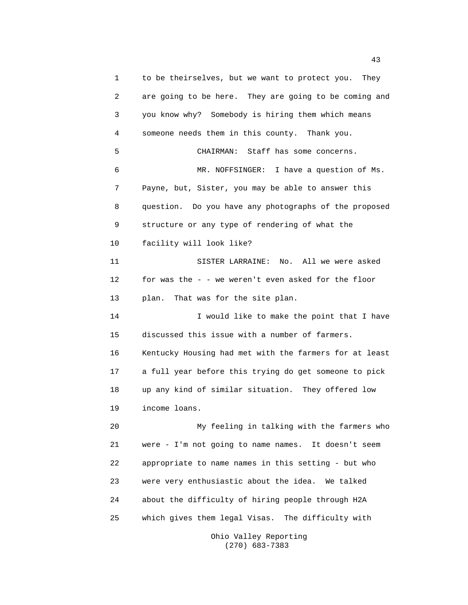1 to be theirselves, but we want to protect you. They 2 are going to be here. They are going to be coming and 3 you know why? Somebody is hiring them which means 4 someone needs them in this county. Thank you. 5 CHAIRMAN: Staff has some concerns. 6 MR. NOFFSINGER: I have a question of Ms. 7 Payne, but, Sister, you may be able to answer this 8 question. Do you have any photographs of the proposed 9 structure or any type of rendering of what the 10 facility will look like? 11 SISTER LARRAINE: No. All we were asked 12 for was the - - we weren't even asked for the floor 13 plan. That was for the site plan. 14 I would like to make the point that I have 15 discussed this issue with a number of farmers. 16 Kentucky Housing had met with the farmers for at least 17 a full year before this trying do get someone to pick 18 up any kind of similar situation. They offered low 19 income loans. 20 My feeling in talking with the farmers who 21 were - I'm not going to name names. It doesn't seem 22 appropriate to name names in this setting - but who 23 were very enthusiastic about the idea. We talked 24 about the difficulty of hiring people through H2A 25 which gives them legal Visas. The difficulty with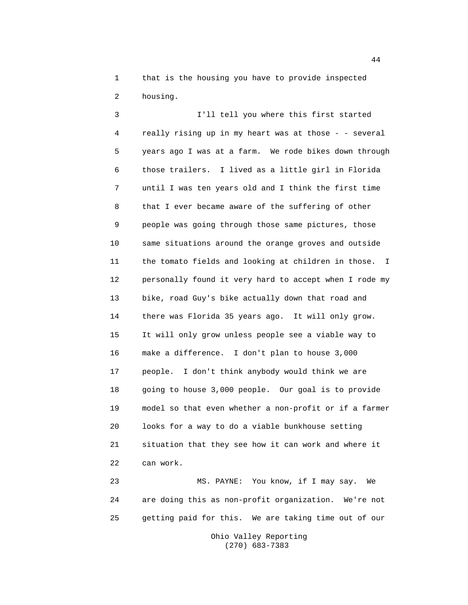1 that is the housing you have to provide inspected 2 housing.

3 I'll tell you where this first started 4 really rising up in my heart was at those - - several 5 years ago I was at a farm. We rode bikes down through 6 those trailers. I lived as a little girl in Florida 7 until I was ten years old and I think the first time 8 that I ever became aware of the suffering of other 9 people was going through those same pictures, those 10 same situations around the orange groves and outside 11 the tomato fields and looking at children in those. I 12 personally found it very hard to accept when I rode my 13 bike, road Guy's bike actually down that road and 14 there was Florida 35 years ago. It will only grow. 15 It will only grow unless people see a viable way to 16 make a difference. I don't plan to house 3,000 17 people. I don't think anybody would think we are 18 going to house 3,000 people. Our goal is to provide 19 model so that even whether a non-profit or if a farmer 20 looks for a way to do a viable bunkhouse setting 21 situation that they see how it can work and where it 22 can work.

23 MS. PAYNE: You know, if I may say. We 24 are doing this as non-profit organization. We're not 25 getting paid for this. We are taking time out of our

> Ohio Valley Reporting (270) 683-7383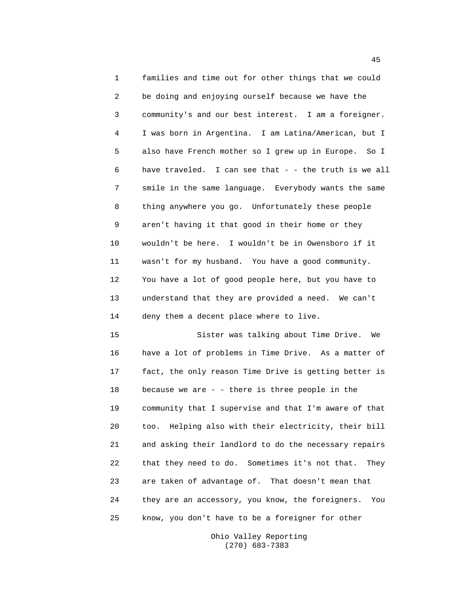1 families and time out for other things that we could 2 be doing and enjoying ourself because we have the 3 community's and our best interest. I am a foreigner. 4 I was born in Argentina. I am Latina/American, but I 5 also have French mother so I grew up in Europe. So I 6 have traveled. I can see that - - the truth is we all 7 smile in the same language. Everybody wants the same 8 thing anywhere you go. Unfortunately these people 9 aren't having it that good in their home or they 10 wouldn't be here. I wouldn't be in Owensboro if it 11 wasn't for my husband. You have a good community. 12 You have a lot of good people here, but you have to 13 understand that they are provided a need. We can't 14 deny them a decent place where to live.

15 Sister was talking about Time Drive. We 16 have a lot of problems in Time Drive. As a matter of 17 fact, the only reason Time Drive is getting better is 18 because we are - - there is three people in the 19 community that I supervise and that I'm aware of that 20 too. Helping also with their electricity, their bill 21 and asking their landlord to do the necessary repairs 22 that they need to do. Sometimes it's not that. They 23 are taken of advantage of. That doesn't mean that 24 they are an accessory, you know, the foreigners. You 25 know, you don't have to be a foreigner for other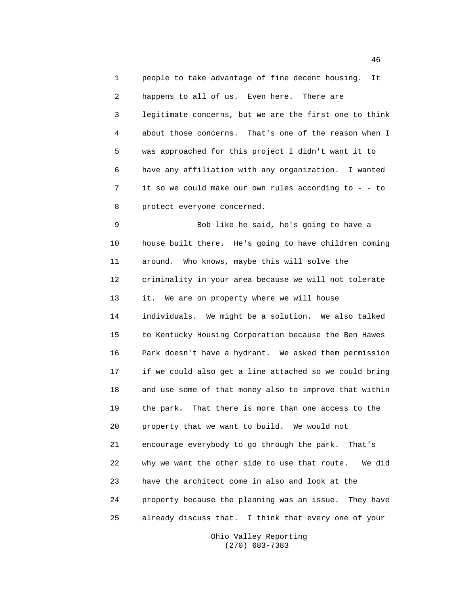1 people to take advantage of fine decent housing. It 2 happens to all of us. Even here. There are 3 legitimate concerns, but we are the first one to think 4 about those concerns. That's one of the reason when I 5 was approached for this project I didn't want it to 6 have any affiliation with any organization. I wanted 7 it so we could make our own rules according to - - to 8 protect everyone concerned.

9 Bob like he said, he's going to have a 10 house built there. He's going to have children coming 11 around. Who knows, maybe this will solve the 12 criminality in your area because we will not tolerate 13 it. We are on property where we will house 14 individuals. We might be a solution. We also talked 15 to Kentucky Housing Corporation because the Ben Hawes 16 Park doesn't have a hydrant. We asked them permission 17 if we could also get a line attached so we could bring 18 and use some of that money also to improve that within 19 the park. That there is more than one access to the 20 property that we want to build. We would not 21 encourage everybody to go through the park. That's 22 why we want the other side to use that route. We did 23 have the architect come in also and look at the 24 property because the planning was an issue. They have 25 already discuss that. I think that every one of your

> Ohio Valley Reporting (270) 683-7383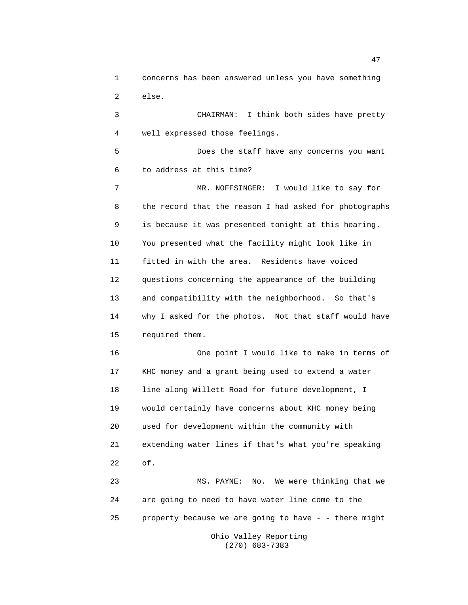1 concerns has been answered unless you have something 2 else.

3 CHAIRMAN: I think both sides have pretty 4 well expressed those feelings.

5 Does the staff have any concerns you want 6 to address at this time?

7 MR. NOFFSINGER: I would like to say for 8 the record that the reason I had asked for photographs 9 is because it was presented tonight at this hearing. 10 You presented what the facility might look like in 11 fitted in with the area. Residents have voiced 12 questions concerning the appearance of the building 13 and compatibility with the neighborhood. So that's 14 why I asked for the photos. Not that staff would have 15 required them.

16 One point I would like to make in terms of 17 KHC money and a grant being used to extend a water 18 line along Willett Road for future development, I 19 would certainly have concerns about KHC money being 20 used for development within the community with 21 extending water lines if that's what you're speaking 22 of.

23 MS. PAYNE: No. We were thinking that we 24 are going to need to have water line come to the 25 property because we are going to have - - there might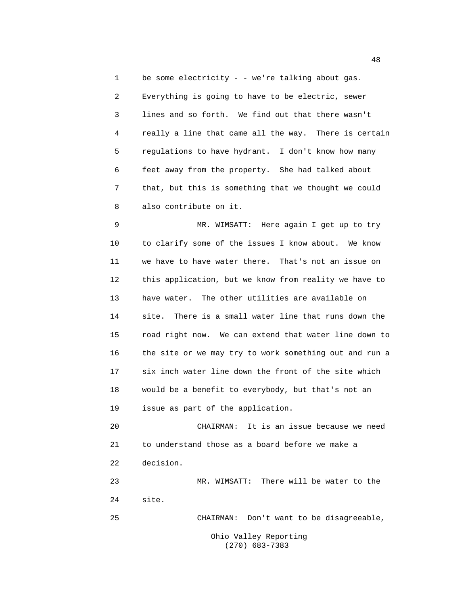1 be some electricity - - we're talking about gas. 2 Everything is going to have to be electric, sewer 3 lines and so forth. We find out that there wasn't 4 really a line that came all the way. There is certain 5 regulations to have hydrant. I don't know how many 6 feet away from the property. She had talked about 7 that, but this is something that we thought we could 8 also contribute on it.

9 MR. WIMSATT: Here again I get up to try 10 to clarify some of the issues I know about. We know 11 we have to have water there. That's not an issue on 12 this application, but we know from reality we have to 13 have water. The other utilities are available on 14 site. There is a small water line that runs down the 15 road right now. We can extend that water line down to 16 the site or we may try to work something out and run a 17 six inch water line down the front of the site which 18 would be a benefit to everybody, but that's not an 19 issue as part of the application.

20 CHAIRMAN: It is an issue because we need 21 to understand those as a board before we make a 22 decision. 23 MR. WIMSATT: There will be water to the

24 site.

25 CHAIRMAN: Don't want to be disagreeable,

Ohio Valley Reporting (270) 683-7383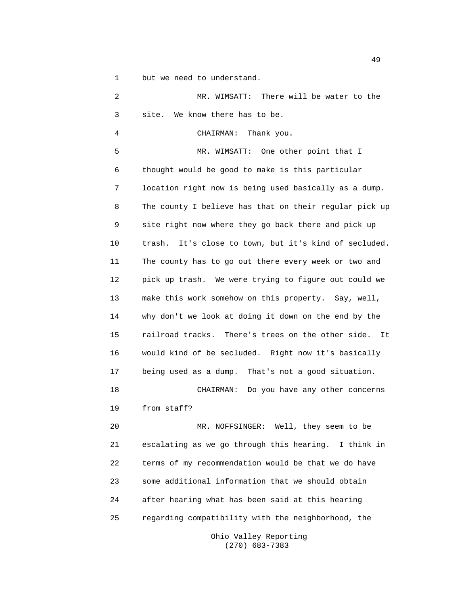1 but we need to understand.

2 MR. WIMSATT: There will be water to the 3 site. We know there has to be. 4 CHAIRMAN: Thank you. 5 MR. WIMSATT: One other point that I 6 thought would be good to make is this particular 7 location right now is being used basically as a dump. 8 The county I believe has that on their regular pick up 9 site right now where they go back there and pick up 10 trash. It's close to town, but it's kind of secluded. 11 The county has to go out there every week or two and 12 pick up trash. We were trying to figure out could we 13 make this work somehow on this property. Say, well, 14 why don't we look at doing it down on the end by the 15 railroad tracks. There's trees on the other side. It 16 would kind of be secluded. Right now it's basically 17 being used as a dump. That's not a good situation. 18 CHAIRMAN: Do you have any other concerns 19 from staff? 20 MR. NOFFSINGER: Well, they seem to be 21 escalating as we go through this hearing. I think in 22 terms of my recommendation would be that we do have 23 some additional information that we should obtain 24 after hearing what has been said at this hearing 25 regarding compatibility with the neighborhood, the

> Ohio Valley Reporting (270) 683-7383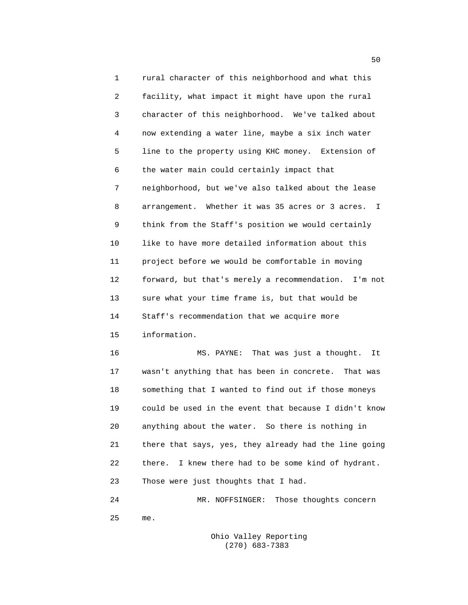1 rural character of this neighborhood and what this 2 facility, what impact it might have upon the rural 3 character of this neighborhood. We've talked about 4 now extending a water line, maybe a six inch water 5 line to the property using KHC money. Extension of 6 the water main could certainly impact that 7 neighborhood, but we've also talked about the lease 8 arrangement. Whether it was 35 acres or 3 acres. I 9 think from the Staff's position we would certainly 10 like to have more detailed information about this 11 project before we would be comfortable in moving 12 forward, but that's merely a recommendation. I'm not 13 sure what your time frame is, but that would be 14 Staff's recommendation that we acquire more 15 information. 16 MS. PAYNE: That was just a thought. It

17 wasn't anything that has been in concrete. That was 18 something that I wanted to find out if those moneys 19 could be used in the event that because I didn't know 20 anything about the water. So there is nothing in 21 there that says, yes, they already had the line going 22 there. I knew there had to be some kind of hydrant. 23 Those were just thoughts that I had.

24 MR. NOFFSINGER: Those thoughts concern 25 me.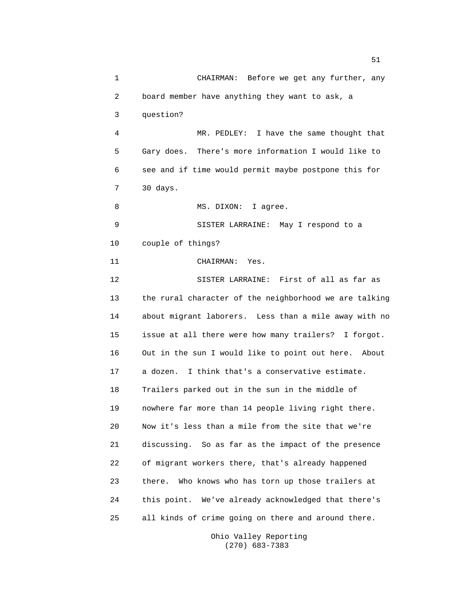1 CHAIRMAN: Before we get any further, any 2 board member have anything they want to ask, a 3 question? 4 MR. PEDLEY: I have the same thought that 5 Gary does. There's more information I would like to 6 see and if time would permit maybe postpone this for 7 30 days. 8 MS. DIXON: I agree. 9 SISTER LARRAINE: May I respond to a 10 couple of things? 11 CHAIRMAN: Yes. 12 SISTER LARRAINE: First of all as far as 13 the rural character of the neighborhood we are talking 14 about migrant laborers. Less than a mile away with no 15 issue at all there were how many trailers? I forgot. 16 Out in the sun I would like to point out here. About 17 a dozen. I think that's a conservative estimate. 18 Trailers parked out in the sun in the middle of 19 nowhere far more than 14 people living right there. 20 Now it's less than a mile from the site that we're 21 discussing. So as far as the impact of the presence 22 of migrant workers there, that's already happened 23 there. Who knows who has torn up those trailers at 24 this point. We've already acknowledged that there's 25 all kinds of crime going on there and around there.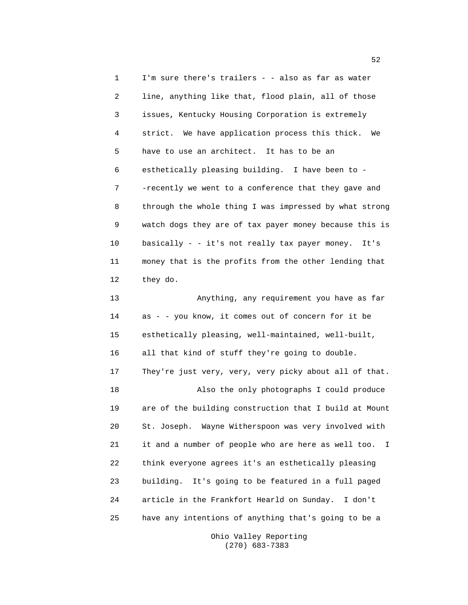1 I'm sure there's trailers - - also as far as water 2 line, anything like that, flood plain, all of those 3 issues, Kentucky Housing Corporation is extremely 4 strict. We have application process this thick. We 5 have to use an architect. It has to be an 6 esthetically pleasing building. I have been to - 7 -recently we went to a conference that they gave and 8 through the whole thing I was impressed by what strong 9 watch dogs they are of tax payer money because this is 10 basically - - it's not really tax payer money. It's 11 money that is the profits from the other lending that 12 they do. 13 Anything, any requirement you have as far 14 as - - you know, it comes out of concern for it be 15 esthetically pleasing, well-maintained, well-built, 16 all that kind of stuff they're going to double. 17 They're just very, very, very picky about all of that. 18 Also the only photographs I could produce 19 are of the building construction that I build at Mount 20 St. Joseph. Wayne Witherspoon was very involved with

21 it and a number of people who are here as well too. I 22 think everyone agrees it's an esthetically pleasing 23 building. It's going to be featured in a full paged 24 article in the Frankfort Hearld on Sunday. I don't 25 have any intentions of anything that's going to be a

> Ohio Valley Reporting (270) 683-7383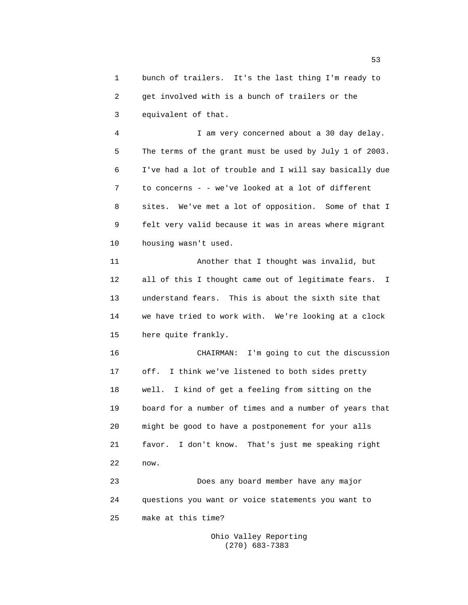1 bunch of trailers. It's the last thing I'm ready to 2 get involved with is a bunch of trailers or the 3 equivalent of that.

4 I am very concerned about a 30 day delay. 5 The terms of the grant must be used by July 1 of 2003. 6 I've had a lot of trouble and I will say basically due 7 to concerns - - we've looked at a lot of different 8 sites. We've met a lot of opposition. Some of that I 9 felt very valid because it was in areas where migrant 10 housing wasn't used.

11 Another that I thought was invalid, but 12 all of this I thought came out of legitimate fears. I 13 understand fears. This is about the sixth site that 14 we have tried to work with. We're looking at a clock 15 here quite frankly.

16 CHAIRMAN: I'm going to cut the discussion 17 off. I think we've listened to both sides pretty 18 well. I kind of get a feeling from sitting on the 19 board for a number of times and a number of years that 20 might be good to have a postponement for your alls 21 favor. I don't know. That's just me speaking right 22 now.

23 Does any board member have any major 24 questions you want or voice statements you want to 25 make at this time?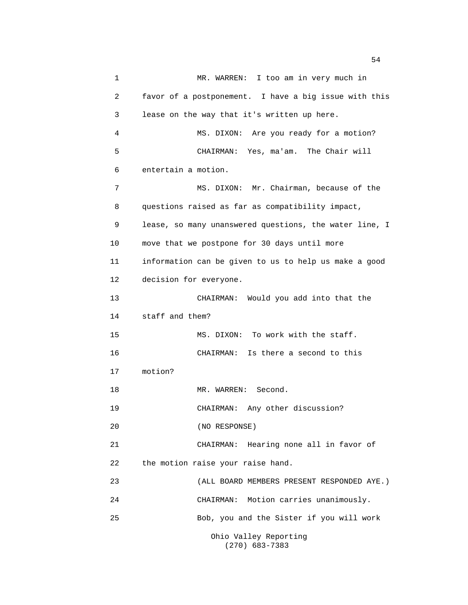1 MR. WARREN: I too am in very much in 2 favor of a postponement. I have a big issue with this 3 lease on the way that it's written up here. 4 MS. DIXON: Are you ready for a motion? 5 CHAIRMAN: Yes, ma'am. The Chair will 6 entertain a motion. 7 MS. DIXON: Mr. Chairman, because of the 8 questions raised as far as compatibility impact, 9 lease, so many unanswered questions, the water line, I 10 move that we postpone for 30 days until more 11 information can be given to us to help us make a good 12 decision for everyone. 13 CHAIRMAN: Would you add into that the 14 staff and them? 15 MS. DIXON: To work with the staff. 16 CHAIRMAN: Is there a second to this 17 motion? 18 MR. WARREN: Second. 19 CHAIRMAN: Any other discussion? 20 (NO RESPONSE) 21 CHAIRMAN: Hearing none all in favor of 22 the motion raise your raise hand. 23 (ALL BOARD MEMBERS PRESENT RESPONDED AYE.) 24 CHAIRMAN: Motion carries unanimously. 25 Bob, you and the Sister if you will work Ohio Valley Reporting

(270) 683-7383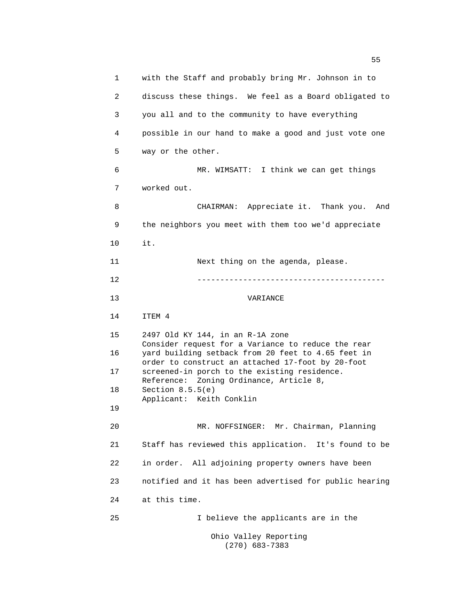1 with the Staff and probably bring Mr. Johnson in to 2 discuss these things. We feel as a Board obligated to 3 you all and to the community to have everything 4 possible in our hand to make a good and just vote one 5 way or the other. 6 MR. WIMSATT: I think we can get things 7 worked out. 8 CHAIRMAN: Appreciate it. Thank you. And 9 the neighbors you meet with them too we'd appreciate 10 it. 11 Next thing on the agenda, please. 12 ----------------------------------------- 13 VARIANCE 14 ITEM 4 15 2497 Old KY 144, in an R-1A zone Consider request for a Variance to reduce the rear 16 yard building setback from 20 feet to 4.65 feet in order to construct an attached 17-foot by 20-foot 17 screened-in porch to the existing residence. Reference: Zoning Ordinance, Article 8, 18 Section 8.5.5(e) Applicant: Keith Conklin 19 20 MR. NOFFSINGER: Mr. Chairman, Planning 21 Staff has reviewed this application. It's found to be 22 in order. All adjoining property owners have been 23 notified and it has been advertised for public hearing 24 at this time. 25 I believe the applicants are in the Ohio Valley Reporting

(270) 683-7383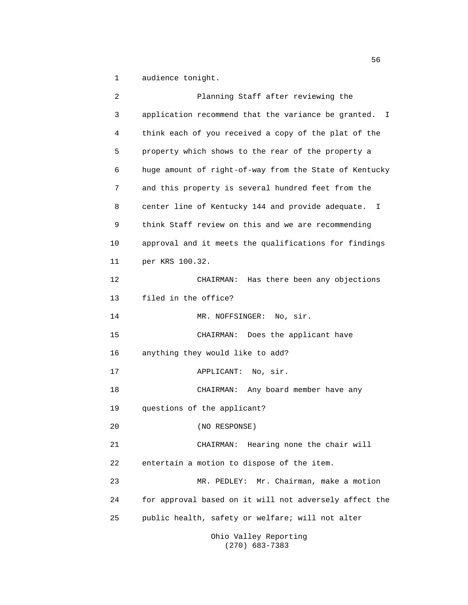1 audience tonight.

| 2  | Planning Staff after reviewing the                     |
|----|--------------------------------------------------------|
| 3  | application recommend that the variance be granted. I  |
| 4  | think each of you received a copy of the plat of the   |
| 5  | property which shows to the rear of the property a     |
| 6  | huge amount of right-of-way from the State of Kentucky |
| 7  | and this property is several hundred feet from the     |
| 8  | center line of Kentucky 144 and provide adequate. I    |
| 9  | think Staff review on this and we are recommending     |
| 10 | approval and it meets the qualifications for findings  |
| 11 | per KRS 100.32.                                        |
| 12 | CHAIRMAN: Has there been any objections                |
| 13 | filed in the office?                                   |
| 14 | MR. NOFFSINGER:<br>No, sir.                            |
| 15 | CHAIRMAN: Does the applicant have                      |
| 16 | anything they would like to add?                       |
| 17 | APPLICANT: No, sir.                                    |
| 18 | CHAIRMAN: Any board member have any                    |
| 19 | questions of the applicant?                            |
| 20 | (NO RESPONSE)                                          |
| 21 | CHAIRMAN: Hearing none the chair will                  |
| 22 | entertain a motion to dispose of the item.             |
| 23 | MR. PEDLEY: Mr. Chairman, make a motion                |
| 24 | for approval based on it will not adversely affect the |
| 25 | public health, safety or welfare; will not alter       |
|    | Ohio Valley Reporting                                  |

(270) 683-7383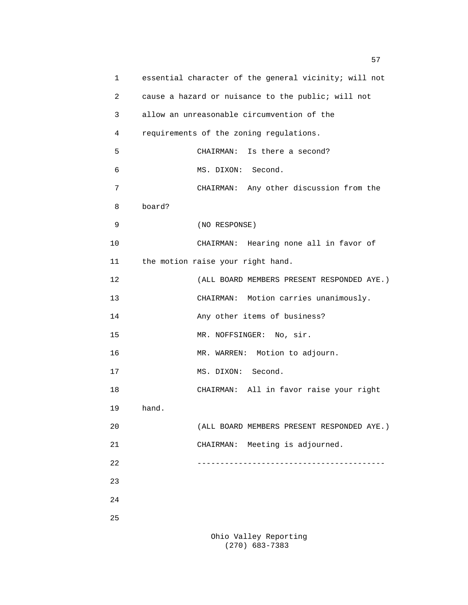| 1  | essential character of the general vicinity; will not |
|----|-------------------------------------------------------|
| 2  | cause a hazard or nuisance to the public; will not    |
| 3  | allow an unreasonable circumvention of the            |
| 4  | requirements of the zoning regulations.               |
| 5  | Is there a second?<br>CHAIRMAN:                       |
| 6  | MS. DIXON: Second.                                    |
| 7  | CHAIRMAN: Any other discussion from the               |
| 8  | board?                                                |
| 9  | (NO RESPONSE)                                         |
| 10 | CHAIRMAN: Hearing none all in favor of                |
| 11 | the motion raise your right hand.                     |
| 12 | (ALL BOARD MEMBERS PRESENT RESPONDED AYE.)            |
| 13 | CHAIRMAN: Motion carries unanimously.                 |
| 14 | Any other items of business?                          |
| 15 | MR. NOFFSINGER: No, sir.                              |
| 16 | MR. WARREN: Motion to adjourn.                        |
| 17 | MS. DIXON: Second.                                    |
| 18 | CHAIRMAN: All in favor raise your right               |
| 19 | hand.                                                 |
| 20 | (ALL BOARD MEMBERS PRESENT RESPONDED AYE.)            |
| 21 | CHAIRMAN: Meeting is adjourned.                       |
| 22 | _____________________________________                 |
| 23 |                                                       |
| 24 |                                                       |
| 25 |                                                       |
|    |                                                       |